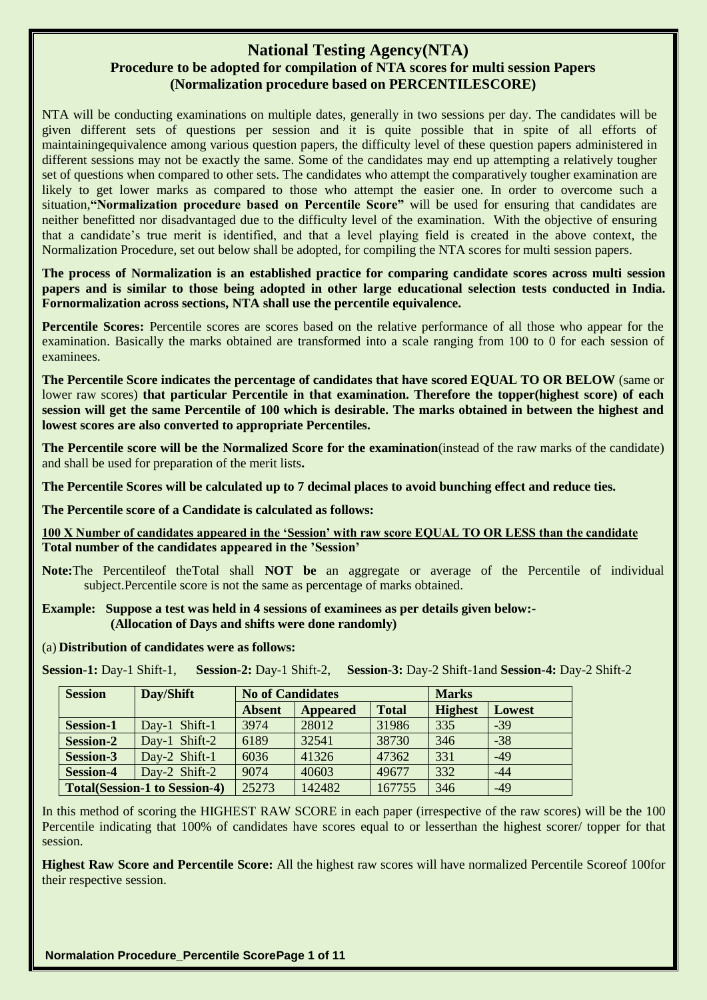# **National Testing Agency(NTA) Procedure to be adopted for compilation of NTA scores for multi session Papers (Normalization procedure based on PERCENTILESCORE)**

NTA will be conducting examinations on multiple dates, generally in two sessions per day. The candidates will be given different sets of questions per session and it is quite possible that in spite of all efforts of maintainingequivalence among various question papers, the difficulty level of these question papers administered in different sessions may not be exactly the same. Some of the candidates may end up attempting a relatively tougher set of questions when compared to other sets. The candidates who attempt the comparatively tougher examination are likely to get lower marks as compared to those who attempt the easier one. In order to overcome such a situation,**"Normalization procedure based on Percentile Score"** will be used for ensuring that candidates are neither benefitted nor disadvantaged due to the difficulty level of the examination. With the objective of ensuring that a candidate's true merit is identified, and that a level playing field is created in the above context, the Normalization Procedure, set out below shall be adopted, for compiling the NTA scores for multi session papers.

**The process of Normalization is an established practice for comparing candidate scores across multi session papers and is similar to those being adopted in other large educational selection tests conducted in India. Fornormalization across sections, NTA shall use the percentile equivalence.**

**Percentile Scores:** Percentile scores are scores based on the relative performance of all those who appear for the examination. Basically the marks obtained are transformed into a scale ranging from 100 to 0 for each session of examinees.

**The Percentile Score indicates the percentage of candidates that have scored EQUAL TO OR BELOW** (same or lower raw scores) **that particular Percentile in that examination. Therefore the topper(highest score) of each session will get the same Percentile of 100 which is desirable. The marks obtained in between the highest and lowest scores are also converted to appropriate Percentiles.** 

**The Percentile score will be the Normalized Score for the examination**(instead of the raw marks of the candidate) and shall be used for preparation of the merit lists**.**

**The Percentile Scores will be calculated up to 7 decimal places to avoid bunching effect and reduce ties.**

**The Percentile score of a Candidate is calculated as follows:**

**100 X Number of candidates appeared in the "Session" with raw score EQUAL TO OR LESS than the candidate Total number of the candidates appeared in the "Session"**

**Note:**The Percentileof theTotal shall **NOT be** an aggregate or average of the Percentile of individual subject.Percentile score is not the same as percentage of marks obtained.

#### **Example: Suppose a test was held in 4 sessions of examinees as per details given below:- (Allocation of Days and shifts were done randomly)**

### (a) **Distribution of candidates were as follows:**

**Session-1:** Day-1 Shift-1, **Session-2:** Day-1 Shift-2, **Session-3:** Day-2 Shift-1and **Session-4:** Day-2 Shift-2

| <b>Session</b>                         | Day/Shift                            | <b>No of Candidates</b> |                 |              | <b>Marks</b>   |        |  |
|----------------------------------------|--------------------------------------|-------------------------|-----------------|--------------|----------------|--------|--|
|                                        |                                      | <b>Absent</b>           | <b>Appeared</b> | <b>Total</b> | <b>Highest</b> | Lowest |  |
| Day-1 Shift-1<br><b>Session-1</b>      |                                      | 3974                    | 28012           | 31986        | 335            | $-39$  |  |
| Shift-2<br><b>Session-2</b><br>$Dav-1$ |                                      | 6189                    | 32541           | 38730        | 346            | $-38$  |  |
| <b>Session-3</b><br>Day-2 Shift-1      |                                      | 6036                    | 41326           | 47362        | 331            | $-49$  |  |
| <b>Session-4</b><br>Day-2 Shift-2      |                                      | 9074                    | 40603           | 49677        | 332            | $-44$  |  |
|                                        | <b>Total(Session-1 to Session-4)</b> | 25273                   | 142482          | 167755       | 346            | $-49$  |  |

In this method of scoring the HIGHEST RAW SCORE in each paper (irrespective of the raw scores) will be the 100 Percentile indicating that 100% of candidates have scores equal to or lesserthan the highest scorer/ topper for that session.

**Highest Raw Score and Percentile Score:** All the highest raw scores will have normalized Percentile Scoreof 100for their respective session.

**Normalation Procedure\_Percentile ScorePage 1 of 11**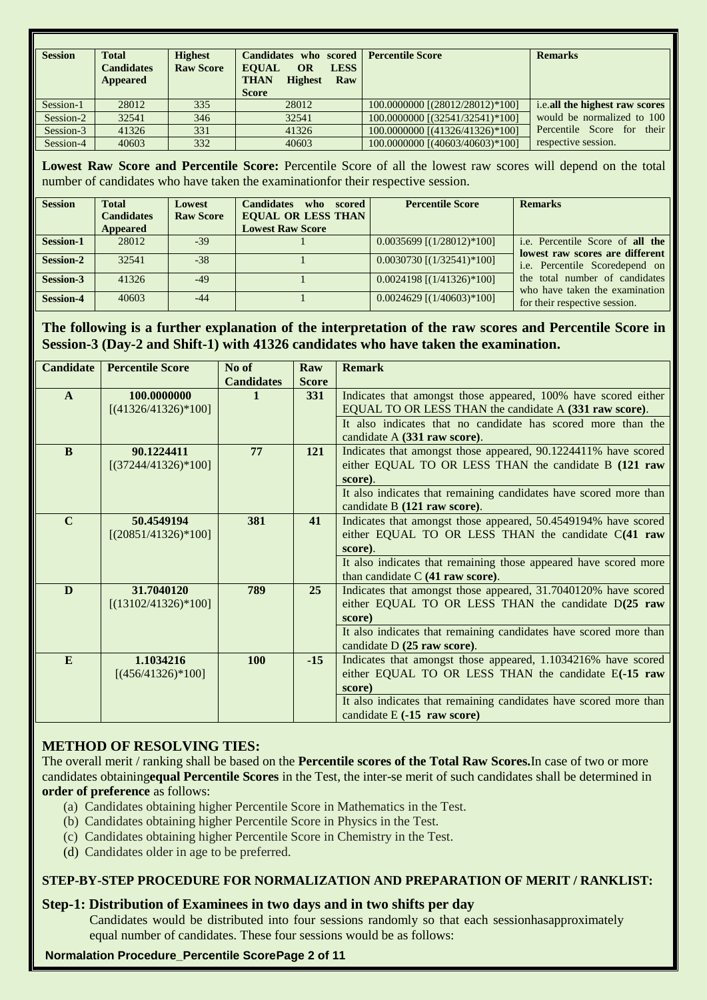| <b>Session</b> | <b>Total</b><br><b>Candidates</b><br>Appeared | <b>Highest</b><br><b>Raw Score</b> | Candidates who scored Percentile Score<br><b>EOUAL</b><br><b>OR</b><br><b>LESS</b><br><b>Highest</b><br>THAN<br>Raw<br><b>Score</b> |                                 | <b>Remarks</b>                 |
|----------------|-----------------------------------------------|------------------------------------|-------------------------------------------------------------------------------------------------------------------------------------|---------------------------------|--------------------------------|
| Session-1      | 28012                                         | 335                                | 28012                                                                                                                               | 100.0000000 [(28012/28012)*100] | i.e.all the highest raw scores |
| Session-2      | 32541                                         | 346                                | 32541                                                                                                                               | 100.0000000 [(32541/32541)*100] | would be normalized to 100     |
| Session-3      | 41326                                         | 331                                | 41326                                                                                                                               | 100.0000000 [(41326/41326)*100] | Percentile Score for their     |
| Session-4      | 40603                                         | 332                                | 40603                                                                                                                               | 100.0000000 [(40603/40603)*100] | respective session.            |

**Lowest Raw Score and Percentile Score:** Percentile Score of all the lowest raw scores will depend on the total number of candidates who have taken the examinationfor their respective session.

| <b>Session</b>   | <b>Total</b><br><b>Candidates</b><br>Appeared | Lowest<br><b>Raw Score</b> | <b>Candidates</b><br>who scored<br><b>EQUAL OR LESS THAN</b><br><b>Lowest Raw Score</b> | <b>Percentile Score</b>         | <b>Remarks</b>                                                      |
|------------------|-----------------------------------------------|----------------------------|-----------------------------------------------------------------------------------------|---------------------------------|---------------------------------------------------------------------|
| <b>Session-1</b> | 28012                                         | $-39$                      |                                                                                         | $0.0035699$ [ $(1/28012)*100$ ] | i.e. Percentile Score of all the<br>lowest raw scores are different |
| <b>Session-2</b> | 32541                                         | $-38$                      |                                                                                         | $0.0030730$ [ $(1/32541)*100$ ] | i.e. Percentile Scoredepend on                                      |
| Session-3        | 41326                                         | $-49$                      |                                                                                         | $0.0024198$ [ $(1/41326)*100$ ] | the total number of candidates<br>who have taken the examination    |
| <b>Session-4</b> | 40603                                         | -44                        |                                                                                         | $0.0024629$ [ $(1/40603)*100$ ] | for their respective session.                                       |

# **The following is a further explanation of the interpretation of the raw scores and Percentile Score in Session-3 (Day-2 and Shift-1) with 41326 candidates who have taken the examination.**

| <b>Candidate</b> | <b>Percentile Score</b> | No of             | Raw          | <b>Remark</b>                                                     |
|------------------|-------------------------|-------------------|--------------|-------------------------------------------------------------------|
|                  |                         | <b>Candidates</b> | <b>Score</b> |                                                                   |
| $\mathbf{A}$     | 100.0000000             |                   | <b>331</b>   | Indicates that amongst those appeared, 100% have scored either    |
|                  | $[(41326/41326)*100]$   |                   |              | EQUAL TO OR LESS THAN the candidate A (331 raw score).            |
|                  |                         |                   |              | It also indicates that no candidate has scored more than the      |
|                  |                         |                   |              | candidate A (331 raw score).                                      |
| B                | 90.1224411              | 77                | 121          | Indicates that amongst those appeared, 90.1224411% have scored    |
|                  | $[(37244/41326)*100]$   |                   |              | either EQUAL TO OR LESS THAN the candidate B (121 raw             |
|                  |                         |                   |              | score).                                                           |
|                  |                         |                   |              | It also indicates that remaining candidates have scored more than |
|                  |                         |                   |              | candidate B (121 raw score).                                      |
| $\mathbf C$      | 50.4549194              | 381               | 41           | Indicates that amongst those appeared, 50.4549194% have scored    |
|                  | $[(20851/41326)*100]$   |                   |              | either EQUAL TO OR LESS THAN the candidate C(41 raw               |
|                  |                         |                   |              | score).                                                           |
|                  |                         |                   |              | It also indicates that remaining those appeared have scored more  |
|                  |                         |                   |              | than candidate C (41 raw score).                                  |
| D                | 31.7040120              | 789               | 25           | Indicates that amongst those appeared, 31.7040120% have scored    |
|                  | $[(13102/41326)*100]$   |                   |              | either EQUAL TO OR LESS THAN the candidate D(25 raw               |
|                  |                         |                   |              | score)                                                            |
|                  |                         |                   |              | It also indicates that remaining candidates have scored more than |
|                  |                         |                   |              | candidate D (25 raw score).                                       |
| E                | 1.1034216               | <b>100</b>        | $-15$        | Indicates that amongst those appeared, 1.1034216% have scored     |
|                  | $[(456/41326)*100]$     |                   |              | either EQUAL TO OR LESS THAN the candidate E(-15 raw              |
|                  |                         |                   |              | score)                                                            |
|                  |                         |                   |              | It also indicates that remaining candidates have scored more than |
|                  |                         |                   |              | candidate $E(-15$ raw score)                                      |

# **METHOD OF RESOLVING TIES:**

The overall merit / ranking shall be based on the **Percentile scores of the Total Raw Scores.**In case of two or more candidates obtaining**equal Percentile Scores** in the Test, the inter-se merit of such candidates shall be determined in **order of preference** as follows:

- (a) Candidates obtaining higher Percentile Score in Mathematics in the Test.
- (b) Candidates obtaining higher Percentile Score in Physics in the Test.
- (c) Candidates obtaining higher Percentile Score in Chemistry in the Test.
- (d) Candidates older in age to be preferred.

## **STEP-BY-STEP PROCEDURE FOR NORMALIZATION AND PREPARATION OF MERIT / RANKLIST:**

## **Step-1: Distribution of Examinees in two days and in two shifts per day**

Candidates would be distributed into four sessions randomly so that each sessionhasapproximately equal number of candidates. These four sessions would be as follows:

## **Normalation Procedure\_Percentile ScorePage 2 of 11**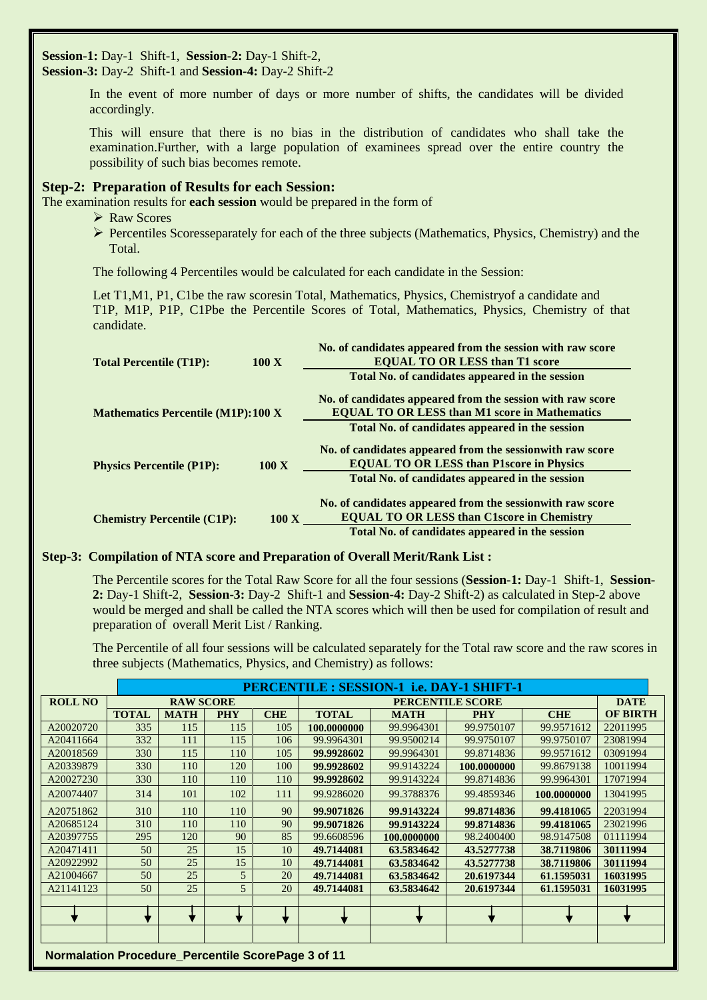**Session-1:** Day-1 Shift-1, **Session-2:** Day-1 Shift-2, **Session-3:** Day-2 Shift-1 and **Session-4:** Day-2 Shift-2

> In the event of more number of days or more number of shifts, the candidates will be divided accordingly.

> This will ensure that there is no bias in the distribution of candidates who shall take the examination.Further, with a large population of examinees spread over the entire country the possibility of such bias becomes remote.

### **Step-2: Preparation of Results for each Session:**

The examination results for **each session** would be prepared in the form of

- **► Raw Scores**
- $\triangleright$  Percentiles Scoresseparately for each of the three subjects (Mathematics, Physics, Chemistry) and the Total.

The following 4 Percentiles would be calculated for each candidate in the Session:

Let T1,M1, P1, C1be the raw scoresin Total, Mathematics, Physics, Chemistryof a candidate and T1P, M1P, P1P, C1Pbe the Percentile Scores of Total, Mathematics, Physics, Chemistry of that candidate.

| <b>Total Percentile (T1P):</b>            | 100X           | No. of candidates appeared from the session with raw score<br><b>EQUAL TO OR LESS than T1 score</b> |
|-------------------------------------------|----------------|-----------------------------------------------------------------------------------------------------|
|                                           |                | Total No. of candidates appeared in the session                                                     |
|                                           |                | No. of candidates appeared from the session with raw score                                          |
| <b>Mathematics Percentile (M1P):100 X</b> |                | <b>EQUAL TO OR LESS than M1 score in Mathematics</b>                                                |
|                                           |                | Total No. of candidates appeared in the session                                                     |
|                                           |                | No. of candidates appeared from the session with raw score                                          |
| <b>Physics Percentile (P1P):</b>          | $100\text{ X}$ | <b>EQUAL TO OR LESS than P1score in Physics</b>                                                     |
|                                           |                | Total No. of candidates appeared in the session                                                     |
|                                           |                | No. of candidates appeared from the session with raw score                                          |
| <b>Chemistry Percentile (C1P):</b>        | $100\text{ X}$ | <b>EQUAL TO OR LESS than C1score in Chemistry</b>                                                   |
|                                           |                | Total No. of candidates appeared in the session                                                     |

#### **Step-3: Compilation of NTA score and Preparation of Overall Merit/Rank List :**

The Percentile scores for the Total Raw Score for all the four sessions (**Session-1:** Day-1 Shift-1, **Session-2:** Day-1 Shift-2, **Session-3:** Day-2 Shift-1 and **Session-4:** Day-2 Shift-2) as calculated in Step-2 above would be merged and shall be called the NTA scores which will then be used for compilation of result and preparation of overall Merit List / Ranking.

The Percentile of all four sessions will be calculated separately for the Total raw score and the raw scores in three subjects (Mathematics, Physics, and Chemistry) as follows:

|                |              |                  |            |            |              | PERCENTILE : SESSION-1 i.e. DAY-1 SHIFT-1 |             |             |                 |
|----------------|--------------|------------------|------------|------------|--------------|-------------------------------------------|-------------|-------------|-----------------|
| <b>ROLL NO</b> |              | <b>RAW SCORE</b> |            |            |              | <b>DATE</b>                               |             |             |                 |
|                | <b>TOTAL</b> | <b>MATH</b>      | <b>PHY</b> | <b>CHE</b> | <b>TOTAL</b> | <b>MATH</b><br><b>PHY</b>                 |             | <b>CHE</b>  | <b>OF BIRTH</b> |
| A20020720      | 335          | 115              | 115        | 105        | 100.0000000  | 99.9964301                                | 99.9750107  | 99.9571612  | 22011995        |
| A20411664      | 332          | 111              | 115        | 106        | 99.9964301   | 99.9500214                                | 99.9750107  | 99.9750107  | 23081994        |
| A20018569      | 330          | 115              | 110        | 105        | 99.9928602   | 99.9964301                                | 99.8714836  | 99.9571612  | 03091994        |
| A20339879      | 330          | 110              | 120        | 100        | 99.9928602   | 99.9143224                                | 100.0000000 | 99.8679138  | 10011994        |
| A20027230      | 330          | 110              | 110        | 110        | 99.9928602   | 99.9143224                                | 99.8714836  | 99.9964301  | 17071994        |
| A20074407      | 314          | 101              | 102        | 111        | 99.9286020   | 99.3788376                                | 99.4859346  | 100.0000000 | 13041995        |
| A20751862      | 310          | 110              | 110        | 90         | 99.9071826   | 99.9143224                                | 99.8714836  | 99.4181065  | 22031994        |
| A20685124      | 310          | 110              | 110        | 90         | 99.9071826   | 99.9143224                                | 99.8714836  | 99.4181065  | 23021996        |
| A20397755      | 295          | 120              | 90         | 85         | 99.6608596   | 100.0000000                               | 98.2400400  | 98.9147508  | 01111994        |
| A20471411      | 50           | 25               | 15         | 10         | 49.7144081   | 63.5834642                                | 43.5277738  | 38.7119806  | 30111994        |
| A20922992      | 50           | 25               | 15         | 10         | 49.7144081   | 63.5834642                                | 43.5277738  | 38.7119806  | 30111994        |
| A21004667      | 50           | 25               | 5          | 20         | 49.7144081   | 63.5834642                                | 20.6197344  | 61.1595031  | 16031995        |
| A21141123      | 50           | 25               | 5          | 20         | 49.7144081   | 63.5834642                                | 20.6197344  | 61.1595031  | 16031995        |
|                |              |                  |            |            |              |                                           |             |             |                 |
|                |              |                  |            |            |              |                                           |             |             |                 |
|                |              |                  |            |            |              |                                           |             |             |                 |
|                |              |                  |            |            |              |                                           |             |             |                 |

**Normalation Procedure\_Percentile ScorePage 3 of 11**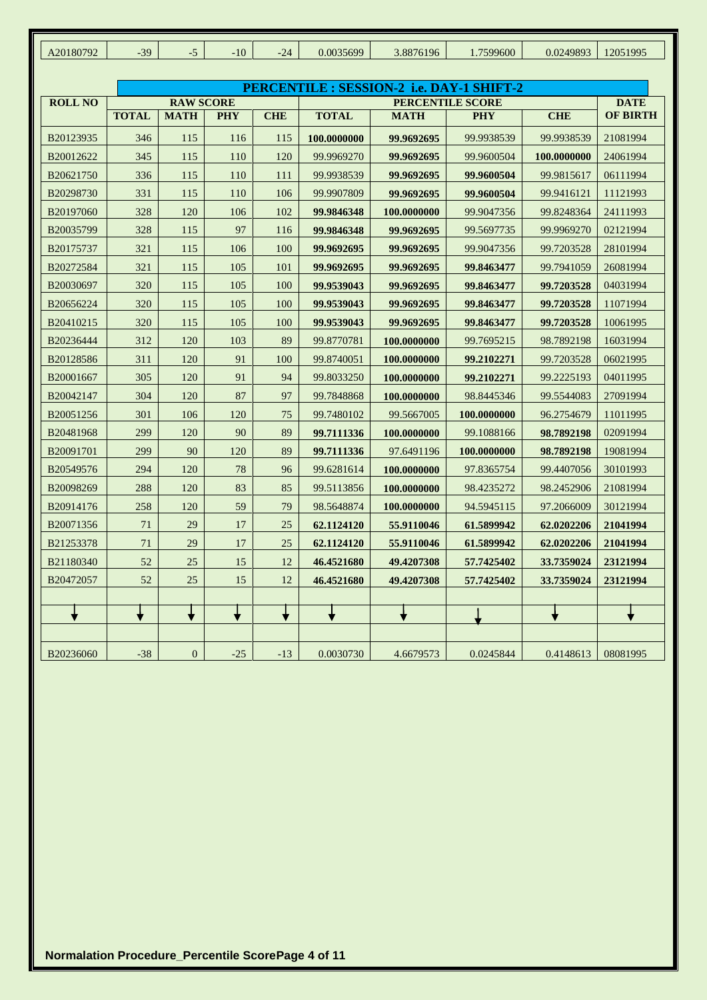| A20180792      | $-39$        | $-5$             | $-10$      | $-24$      | 0.0035699    | 3.8876196                                 | 1.7599600   | 0.0249893   | 12051995        |
|----------------|--------------|------------------|------------|------------|--------------|-------------------------------------------|-------------|-------------|-----------------|
|                |              |                  |            |            |              |                                           |             |             |                 |
|                |              |                  |            |            |              | PERCENTILE : SESSION-2 i.e. DAY-1 SHIFT-2 |             |             |                 |
| <b>ROLL NO</b> |              | <b>RAW SCORE</b> |            |            |              | <b>DATE</b>                               |             |             |                 |
|                | <b>TOTAL</b> | <b>MATH</b>      | <b>PHY</b> | <b>CHE</b> | <b>TOTAL</b> | <b>MATH</b>                               | <b>PHY</b>  | <b>CHE</b>  | <b>OF BIRTH</b> |
| B20123935      | 346          | 115              | 116        | 115        | 100.0000000  | 99.9692695                                | 99.9938539  | 99.9938539  | 21081994        |
| B20012622      | 345          | 115              | 110        | 120        | 99.9969270   | 99.9692695                                | 99.9600504  | 100.0000000 | 24061994        |
| B20621750      | 336          | 115              | 110        | 111        | 99.9938539   | 99.9692695                                | 99.9600504  | 99.9815617  | 06111994        |
| B20298730      | 331          | 115              | 110        | 106        | 99.9907809   | 99.9692695                                | 99.9600504  | 99.9416121  | 11121993        |
| B20197060      | 328          | 120              | 106        | 102        | 99.9846348   | 100.0000000                               | 99.9047356  | 99.8248364  | 24111993        |
| B20035799      | 328          | 115              | 97         | 116        | 99.9846348   | 99.9692695                                | 99.5697735  | 99.9969270  | 02121994        |
| B20175737      | 321          | 115              | 106        | 100        | 99.9692695   | 99.9692695                                | 99.9047356  | 99.7203528  | 28101994        |
| B20272584      | 321          | 115              | 105        | 101        | 99.9692695   | 99.9692695                                | 99.8463477  | 99.7941059  | 26081994        |
| B20030697      | 320          | 115              | 105        | 100        | 99.9539043   | 99.9692695                                | 99.8463477  | 99.7203528  | 04031994        |
| B20656224      | 320          | 115              | 105        | 100        | 99.9539043   | 99.9692695                                | 99.8463477  | 99.7203528  | 11071994        |
| B20410215      | 320          | 115              | 105        | 100        | 99.9539043   | 99.9692695                                | 99.8463477  | 99.7203528  | 10061995        |
| B20236444      | 312          | 120              | 103        | 89         | 99.8770781   | 100.0000000                               | 99.7695215  | 98.7892198  | 16031994        |
| B20128586      | 311          | 120              | 91         | 100        | 99.8740051   | 100.0000000                               | 99.2102271  | 99.7203528  | 06021995        |
| B20001667      | 305          | 120              | 91         | 94         | 99.8033250   | 100.0000000                               | 99.2102271  | 99.2225193  | 04011995        |
| B20042147      | 304          | 120              | 87         | 97         | 99.7848868   | 100.0000000                               | 98.8445346  | 99.5544083  | 27091994        |
| B20051256      | 301          | 106              | 120        | 75         | 99.7480102   | 99.5667005                                | 100.0000000 | 96.2754679  | 11011995        |
| B20481968      | 299          | 120              | 90         | 89         | 99.7111336   | 100.0000000                               | 99.1088166  | 98.7892198  | 02091994        |
| B20091701      | 299          | 90               | 120        | 89         | 99.7111336   | 97.6491196                                | 100.0000000 | 98.7892198  | 19081994        |
| B20549576      | 294          | 120              | 78         | 96         | 99.6281614   | 100.0000000                               | 97.8365754  | 99.4407056  | 30101993        |
| B20098269      | 288          | 120              | 83         | 85         | 99.5113856   | 100.0000000                               | 98.4235272  | 98.2452906  | 21081994        |
| B20914176      | 258          | 120              | 59         | 79         | 98.5648874   | 100.0000000                               | 94.5945115  | 97.2066009  | 30121994        |
| B20071356      | 71           | 29               | 17         | 25         | 62.1124120   | 55.9110046                                | 61.5899942  | 62.0202206  | 21041994        |
| B21253378      | 71           | 29               | 17         | 25         | 62.1124120   | 55.9110046                                | 61.5899942  | 62.0202206  | 21041994        |
| B21180340      | 52           | 25               | 15         | 12         | 46.4521680   | 49.4207308                                | 57.7425402  | 33.7359024  | 23121994        |
| B20472057      | 52           | $25\,$           | 15         | 12         | 46.4521680   | 49.4207308                                | 57.7425402  | 33.7359024  | 23121994        |
|                |              |                  |            |            |              |                                           |             |             |                 |
|                | ╈            | ╈                | ╈          | ◆          |              |                                           |             |             |                 |
|                |              |                  |            |            |              |                                           |             |             |                 |
| B20236060      | $-38$        | $\boldsymbol{0}$ | $-25$      | $-13$      | 0.0030730    | 4.6679573                                 | 0.0245844   | 0.4148613   | 08081995        |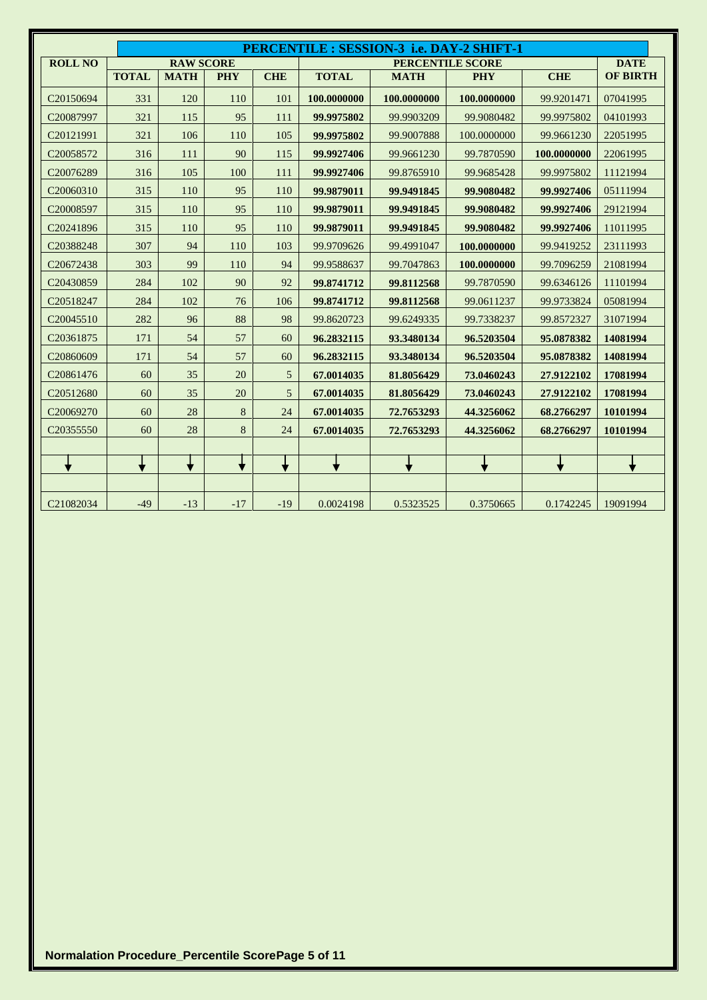|                       | PERCENTILE : SESSION-3 i.e. DAY-2 SHIFT-1 |                  |            |            |              |             |                         |             |                 |  |  |  |
|-----------------------|-------------------------------------------|------------------|------------|------------|--------------|-------------|-------------------------|-------------|-----------------|--|--|--|
| <b>ROLL NO</b>        |                                           | <b>RAW SCORE</b> |            |            |              |             | <b>PERCENTILE SCORE</b> |             | <b>DATE</b>     |  |  |  |
|                       | <b>TOTAL</b>                              | <b>MATH</b>      | <b>PHY</b> | <b>CHE</b> | <b>TOTAL</b> | <b>MATH</b> | <b>PHY</b>              | <b>CHE</b>  | <b>OF BIRTH</b> |  |  |  |
| C <sub>20150694</sub> | 331                                       | 120              | 110        | 101        | 100.0000000  | 100.0000000 | 100.0000000             | 99.9201471  | 07041995        |  |  |  |
| C <sub>20087997</sub> | 321                                       | 115              | 95         | 111        | 99.9975802   | 99.9903209  | 99.9080482              | 99.9975802  | 04101993        |  |  |  |
| C20121991             | 321                                       | 106              | 110        | 105        | 99.9975802   | 99.9007888  | 100.0000000             | 99.9661230  | 22051995        |  |  |  |
| C20058572             | 316                                       | 111              | 90         | 115        | 99.9927406   | 99.9661230  | 99.7870590              | 100.0000000 | 22061995        |  |  |  |
| C20076289             | 316                                       | 105              | 100        | 111        | 99.9927406   | 99.8765910  | 99.9685428              | 99.9975802  | 11121994        |  |  |  |
| C20060310             | 315                                       | 110              | 95         | 110        | 99.9879011   | 99.9491845  | 99.9080482              | 99.9927406  | 05111994        |  |  |  |
| C20008597             | 315                                       | 110              | 95         | 110        | 99.9879011   | 99.9491845  | 99.9080482              | 99.9927406  | 29121994        |  |  |  |
| C20241896             | 315                                       | 110              | 95         | 110        | 99.9879011   | 99.9491845  | 99.9080482              | 99.9927406  | 11011995        |  |  |  |
| C20388248             | 307                                       | 94               | 110        | 103        | 99.9709626   | 99.4991047  | 100.0000000             | 99.9419252  | 23111993        |  |  |  |
| C20672438             | 303                                       | 99               | 110        | 94         | 99.9588637   | 99.7047863  | 100.0000000             | 99.7096259  | 21081994        |  |  |  |
| C20430859             | 284                                       | 102              | 90         | 92         | 99.8741712   | 99.8112568  | 99.7870590              | 99.6346126  | 11101994        |  |  |  |
| C20518247             | 284                                       | 102              | 76         | 106        | 99.8741712   | 99.8112568  | 99.0611237              | 99.9733824  | 05081994        |  |  |  |
| C20045510             | 282                                       | 96               | 88         | 98         | 99.8620723   | 99.6249335  | 99.7338237              | 99.8572327  | 31071994        |  |  |  |
| C20361875             | 171                                       | 54               | 57         | 60         | 96.2832115   | 93.3480134  | 96.5203504              | 95.0878382  | 14081994        |  |  |  |
| C20860609             | 171                                       | 54               | 57         | 60         | 96.2832115   | 93.3480134  | 96.5203504              | 95.0878382  | 14081994        |  |  |  |
| C <sub>20861476</sub> | 60                                        | 35               | 20         | 5          | 67.0014035   | 81.8056429  | 73.0460243              | 27.9122102  | 17081994        |  |  |  |
| C20512680             | 60                                        | 35               | 20         | 5          | 67.0014035   | 81.8056429  | 73.0460243              | 27.9122102  | 17081994        |  |  |  |
| C20069270             | 60                                        | 28               | 8          | 24         | 67.0014035   | 72.7653293  | 44.3256062              | 68.2766297  | 10101994        |  |  |  |
| C20355550             | 60                                        | 28               | 8          | 24         | 67.0014035   | 72.7653293  | 44.3256062              | 68.2766297  | 10101994        |  |  |  |
|                       |                                           |                  |            |            |              |             |                         |             |                 |  |  |  |
|                       |                                           |                  |            |            |              |             |                         |             |                 |  |  |  |
|                       |                                           |                  |            |            |              |             |                         |             |                 |  |  |  |
| C21082034             | $-49$                                     | $-13$            | $-17$      | $-19$      | 0.0024198    | 0.5323525   | 0.3750665               | 0.1742245   | 19091994        |  |  |  |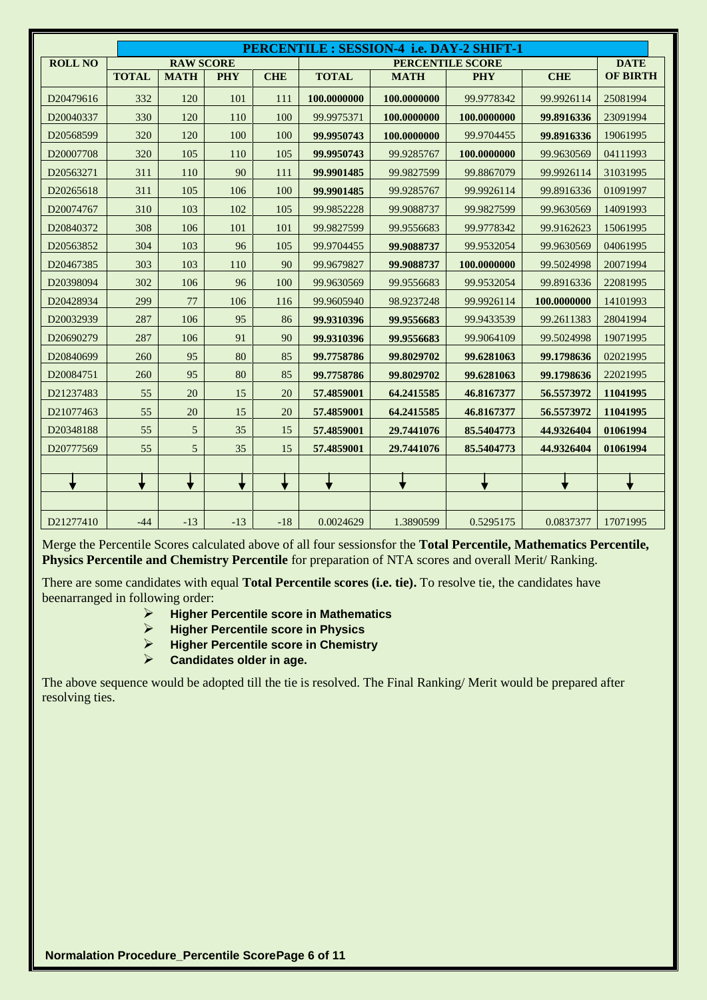|                |              |                  |            |            |              | PERCENTILE : SESSION-4 i.e. DAY-2 SHIFT-1 |                         |             |                 |
|----------------|--------------|------------------|------------|------------|--------------|-------------------------------------------|-------------------------|-------------|-----------------|
| <b>ROLL NO</b> |              | <b>RAW SCORE</b> |            |            |              |                                           | <b>PERCENTILE SCORE</b> |             | <b>DATE</b>     |
|                | <b>TOTAL</b> | <b>MATH</b>      | <b>PHY</b> | <b>CHE</b> | <b>TOTAL</b> | <b>MATH</b>                               | <b>PHY</b>              | <b>CHE</b>  | <b>OF BIRTH</b> |
| D20479616      | 332          | 120              | 101        | 111        | 100.0000000  | 100.0000000                               | 99.9778342              | 99.9926114  | 25081994        |
| D20040337      | 330          | 120              | 110        | 100        | 99.9975371   | 100.0000000                               | 100.0000000             | 99.8916336  | 23091994        |
| D20568599      | 320          | 120              | 100        | 100        | 99.9950743   | 100.0000000                               | 99.9704455              | 99.8916336  | 19061995        |
| D20007708      | 320          | 105              | 110        | 105        | 99.9950743   | 99.9285767                                | 100.0000000             | 99.9630569  | 04111993        |
| D20563271      | 311          | 110              | 90         | 111        | 99.9901485   | 99.9827599                                | 99.8867079              | 99.9926114  | 31031995        |
| D20265618      | 311          | 105              | 106        | 100        | 99.9901485   | 99.9285767                                | 99.9926114              | 99.8916336  | 01091997        |
| D20074767      | 310          | 103              | 102        | 105        | 99.9852228   | 99.9088737                                | 99.9827599              | 99.9630569  | 14091993        |
| D20840372      | 308          | 106              | 101        | 101        | 99.9827599   | 99.9556683                                | 99.9778342              | 99.9162623  | 15061995        |
| D20563852      | 304          | 103              | 96         | 105        | 99.9704455   | 99.9088737                                | 99.9532054              | 99.9630569  | 04061995        |
| D20467385      | 303          | 103              | 110        | 90         | 99.9679827   | 99.9088737                                | 100.0000000             | 99.5024998  | 20071994        |
| D20398094      | 302          | 106              | 96         | 100        | 99.9630569   | 99.9556683                                | 99.9532054              | 99.8916336  | 22081995        |
| D20428934      | 299          | 77               | 106        | 116        | 99.9605940   | 98.9237248                                | 99.9926114              | 100.0000000 | 14101993        |
| D20032939      | 287          | 106              | 95         | 86         | 99.9310396   | 99.9556683                                | 99.9433539              | 99.2611383  | 28041994        |
| D20690279      | 287          | 106              | 91         | 90         | 99.9310396   | 99.9556683                                | 99.9064109              | 99.5024998  | 19071995        |
| D20840699      | 260          | 95               | 80         | 85         | 99.7758786   | 99.8029702                                | 99.6281063              | 99.1798636  | 02021995        |
| D20084751      | 260          | 95               | 80         | 85         | 99.7758786   | 99.8029702                                | 99.6281063              | 99.1798636  | 22021995        |
| D21237483      | 55           | 20               | 15         | 20         | 57.4859001   | 64.2415585                                | 46.8167377              | 56.5573972  | 11041995        |
| D21077463      | 55           | 20               | 15         | 20         | 57.4859001   | 64.2415585                                | 46.8167377              | 56.5573972  | 11041995        |
| D20348188      | 55           | 5                | 35         | 15         | 57.4859001   | 29.7441076                                | 85.5404773              | 44.9326404  | 01061994        |
| D20777569      | 55           | 5                | 35         | 15         | 57.4859001   | 29.7441076                                | 85.5404773              | 44.9326404  | 01061994        |
|                |              |                  |            |            |              |                                           |                         |             |                 |
|                |              |                  | ▼          |            |              |                                           |                         |             | ▼               |
|                |              |                  |            |            |              |                                           |                         |             |                 |
| D21277410      | $-44$        | $-13$            | $-13$      | $-18$      | 0.0024629    | 1.3890599                                 | 0.5295175               | 0.0837377   | 17071995        |

Merge the Percentile Scores calculated above of all four sessionsfor the **Total Percentile, Mathematics Percentile, Physics Percentile and Chemistry Percentile** for preparation of NTA scores and overall Merit/ Ranking.

There are some candidates with equal **Total Percentile scores (i.e. tie).** To resolve tie, the candidates have beenarranged in following order:

- **Higher Percentile score in Mathematics**
- **Higher Percentile score in Physics**
- **Higher Percentile score in Chemistry**
- **Candidates older in age.**

The above sequence would be adopted till the tie is resolved. The Final Ranking/ Merit would be prepared after resolving ties.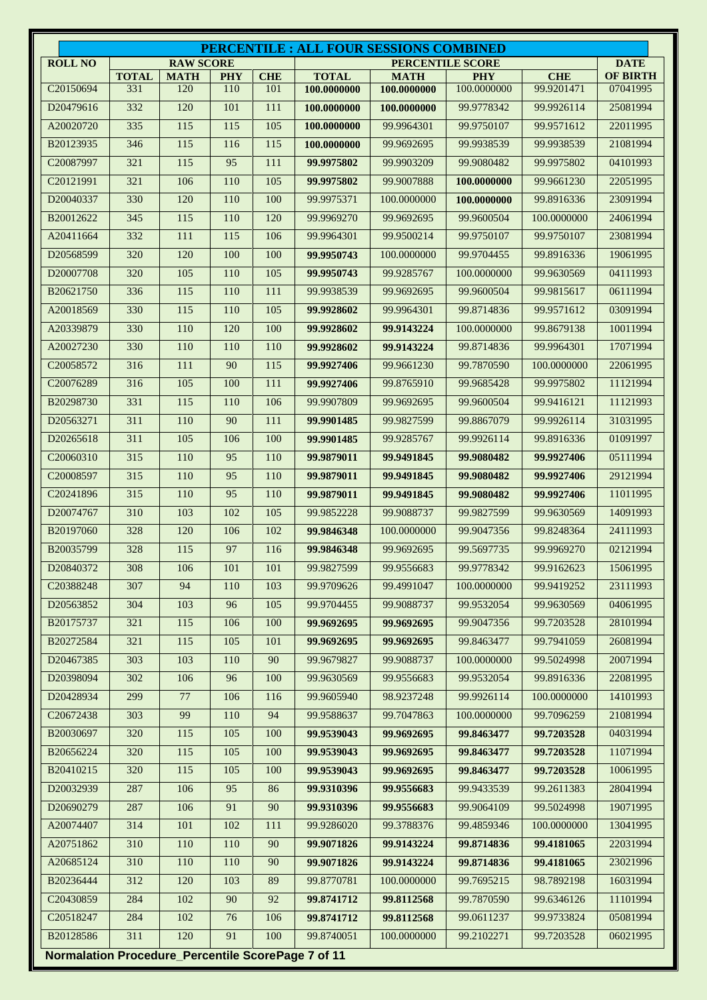|                                                    |                     |                    |                   |                   |                             | <b>PERCENTILE : ALL FOUR SESSIONS COMBINED</b> |                           |                          |                             |
|----------------------------------------------------|---------------------|--------------------|-------------------|-------------------|-----------------------------|------------------------------------------------|---------------------------|--------------------------|-----------------------------|
| <b>ROLL NO</b>                                     |                     | <b>RAW SCORE</b>   |                   |                   |                             | <b>PERCENTILE SCORE</b>                        |                           |                          | <b>DATE</b>                 |
| C20150694                                          | <b>TOTAL</b><br>331 | <b>MATH</b><br>120 | <b>PHY</b><br>110 | <b>CHE</b><br>101 | <b>TOTAL</b><br>100.0000000 | <b>MATH</b><br>100.0000000                     | <b>PHY</b><br>100.0000000 | <b>CHE</b><br>99.9201471 | <b>OF BIRTH</b><br>07041995 |
| D20479616                                          | 332                 | 120                | 101               | 111               | 100.0000000                 | 100.0000000                                    | 99.9778342                | 99.9926114               | 25081994                    |
| A20020720                                          | 335                 | 115                | 115               | 105               | 100.0000000                 | 99.9964301                                     | 99.9750107                | 99.9571612               | 22011995                    |
| B20123935                                          | 346                 | 115                | 116               | 115               | 100.0000000                 | 99.9692695                                     | 99.9938539                | 99.9938539               | 21081994                    |
| C20087997                                          | 321                 | 115                | 95                | 111               | 99.9975802                  | 99.9903209                                     | 99.9080482                | 99.9975802               | 04101993                    |
| C20121991                                          | 321                 | 106                | 110               | 105               | 99.9975802                  | 99.9007888                                     | 100.0000000               | 99.9661230               | 22051995                    |
| D20040337                                          | 330                 | 120                | 110               | 100               | 99.9975371                  | 100.0000000                                    | 100.0000000               | 99.8916336               | 23091994                    |
| B20012622                                          | 345                 | 115                | 110               | 120               | 99.9969270                  | 99.9692695                                     | 99.9600504                | 100.0000000              | 24061994                    |
| A20411664                                          | 332                 | 111                | 115               | 106               | 99.9964301                  | 99.9500214                                     | 99.9750107                | 99.9750107               | 23081994                    |
| D20568599                                          | 320                 | 120                | 100               | 100               | 99.9950743                  | 100.0000000                                    | 99.9704455                | 99.8916336               | 19061995                    |
| D20007708                                          | 320                 | 105                | 110               | 105               | 99.9950743                  | 99.9285767                                     | 100.0000000               | 99.9630569               | 04111993                    |
| B20621750                                          | 336                 | 115                | 110               | 111               | 99.9938539                  | 99.9692695                                     | 99.9600504                | 99.9815617               | 06111994                    |
| A20018569                                          | 330                 | 115                | 110               | 105               | 99.9928602                  | 99.9964301                                     | 99.8714836                | 99.9571612               | 03091994                    |
| A20339879                                          | 330                 | 110                | 120               | 100               | 99.9928602                  | 99.9143224                                     | 100.0000000               | 99.8679138               | 10011994                    |
| A20027230                                          | 330                 | 110                | 110               | 110               | 99.9928602                  | 99.9143224                                     | 99.8714836                | 99.9964301               | 17071994                    |
| C <sub>20058572</sub>                              | 316                 | 111                | 90                | 115               | 99.9927406                  | 99.9661230                                     | 99.7870590                | 100.0000000              | 22061995                    |
| C20076289                                          | 316                 | 105                | 100               | 111               | 99.9927406                  | 99.8765910                                     | 99.9685428                | 99.9975802               | 11121994                    |
| B20298730                                          | 331                 | 115                | 110               | 106               | 99.9907809                  | 99.9692695                                     | 99.9600504                | 99.9416121               | 11121993                    |
| D20563271                                          | 311                 | 110                | 90                | 111               | 99.9901485                  | 99.9827599                                     | 99.8867079                | 99.9926114               | 31031995                    |
| D20265618                                          | 311                 | 105                | 106               | 100               | 99.9901485                  | 99.9285767                                     | 99.9926114                | 99.8916336               | 01091997                    |
| C20060310                                          | 315                 | 110                | 95                | 110               | 99.9879011                  | 99.9491845                                     | 99.9080482                | 99.9927406               | 05111994                    |
| C20008597                                          | 315                 | 110                | 95                | 110               | 99.9879011                  | 99.9491845                                     | 99.9080482                | 99.9927406               | 29121994                    |
| C20241896                                          | 315                 | 110                | 95                | 110               | 99.9879011                  | 99.9491845                                     | 99.9080482                | 99.9927406               | 11011995                    |
| D20074767                                          | 310                 | 103                | 102               | 105               | 99.9852228                  | 99.9088737                                     | 99.9827599                | 99.9630569               | 14091993                    |
| B20197060                                          | 328                 | 120                | 106               | 102               | 99.9846348                  | 100.0000000                                    | 99.9047356                | 99.8248364               | 24111993                    |
| B20035799                                          | 328                 | 115                | 97                | 116               | 99.9846348                  | 99.9692695                                     | 99.5697735                | 99.9969270               | 02121994                    |
| D20840372                                          | 308                 | 106                | 101               | 101               | 99.9827599                  | 99.9556683                                     | 99.9778342                | 99.9162623               | 15061995                    |
| C20388248                                          | 307                 | 94                 | 110               | 103               | 99.9709626                  | 99.4991047                                     | 100.0000000               | 99.9419252               | 23111993                    |
| D20563852                                          | 304                 | 103                | 96                | 105               | 99.9704455                  | 99.9088737                                     | 99.9532054                | 99.9630569               | 04061995                    |
| B20175737                                          | 321                 | 115                | 106               | 100               | 99.9692695                  | 99.9692695                                     | 99.9047356                | 99.7203528               | 28101994                    |
| B20272584                                          | 321                 | 115                | 105               | 101               | 99.9692695                  | 99.9692695                                     | 99.8463477                | 99.7941059               | 26081994                    |
| D20467385                                          | 303                 | 103                | 110               | 90                | 99.9679827                  | 99.9088737                                     | 100.0000000               | 99.5024998               | 20071994                    |
| D20398094                                          | 302                 | 106                | 96                | 100               | 99.9630569                  | 99.9556683                                     | 99.9532054                | 99.8916336               | 22081995                    |
| D20428934                                          | 299                 | 77                 | 106               | 116               | 99.9605940                  | 98.9237248                                     | 99.9926114                | 100.0000000              | 14101993                    |
| C20672438                                          | 303                 | 99                 | 110               | 94                | 99.9588637                  | 99.7047863                                     | 100.0000000               | 99.7096259               | 21081994                    |
| B20030697                                          | 320                 | 115                | 105               | 100               | 99.9539043                  | 99.9692695                                     | 99.8463477                | 99.7203528               | 04031994                    |
| B20656224                                          | 320                 | 115                | 105               | 100               | 99.9539043                  | 99.9692695                                     | 99.8463477                | 99.7203528               | 11071994                    |
| B20410215                                          | 320                 | 115                | 105               | 100               | 99.9539043                  | 99.9692695                                     | 99.8463477                | 99.7203528               | 10061995                    |
| D20032939                                          | 287                 | 106                | 95                | 86                | 99.9310396                  | 99.9556683                                     | 99.9433539                | 99.2611383               | 28041994                    |
| D20690279                                          | 287                 | 106                | 91                | 90                | 99.9310396                  | 99.9556683                                     | 99.9064109                | 99.5024998               | 19071995                    |
| A20074407                                          | 314                 | 101                | 102               | 111               | 99.9286020                  | 99.3788376                                     | 99.4859346                | 100.0000000              | 13041995                    |
| A20751862                                          | 310                 | 110                | 110               | 90                | 99.9071826                  | 99.9143224                                     | 99.8714836                | 99.4181065               | 22031994                    |
| A20685124                                          | 310                 | 110                | 110               | 90                | 99.9071826                  | 99.9143224                                     | 99.8714836                | 99.4181065               | 23021996                    |
| B20236444                                          | 312                 | 120                | 103               | 89                | 99.8770781                  | 100.0000000                                    | 99.7695215                | 98.7892198               | 16031994                    |
| C20430859                                          | 284                 | 102                | 90                | 92                | 99.8741712                  | 99.8112568                                     | 99.7870590                | 99.6346126               | 11101994                    |
| C20518247                                          | 284                 | 102                | 76                | 106               | 99.8741712                  | 99.8112568                                     | 99.0611237                | 99.9733824               | 05081994                    |
| B20128586                                          | 311                 | 120                | 91                | 100               | 99.8740051                  | 100.0000000                                    | 99.2102271                | 99.7203528               | 06021995                    |
| Normalation Procedure_Percentile ScorePage 7 of 11 |                     |                    |                   |                   |                             |                                                |                           |                          |                             |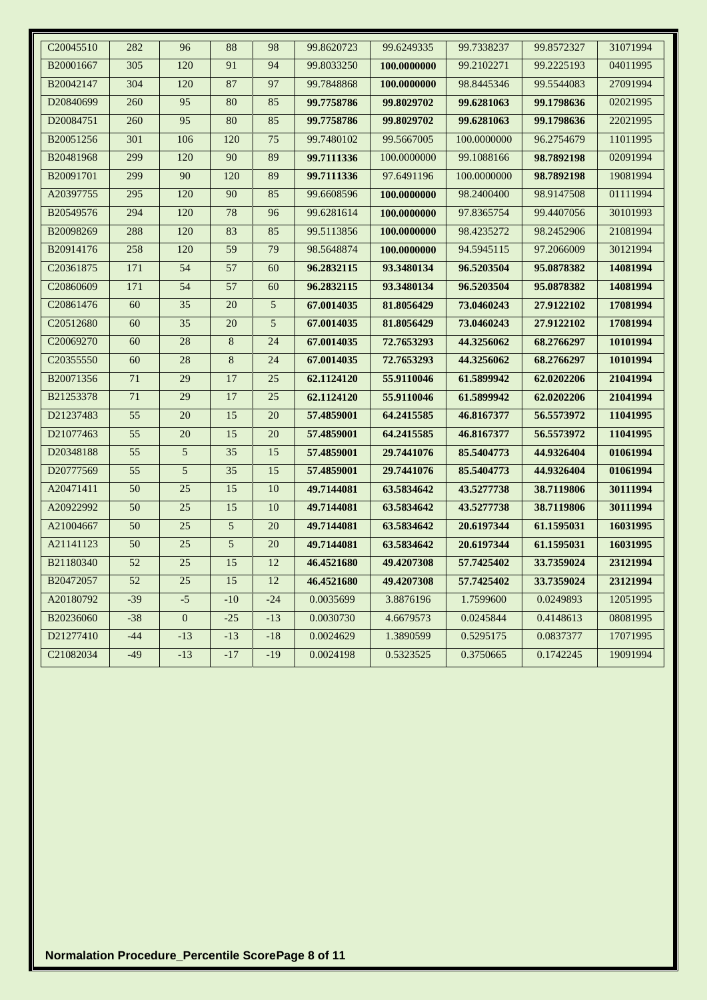| C20045510             | 282   | 96              | 88             | 98             | 99.8620723 | 99.6249335  | 99.7338237  | 99.8572327 | 31071994 |
|-----------------------|-------|-----------------|----------------|----------------|------------|-------------|-------------|------------|----------|
| B20001667             | 305   | 120             | 91             | 94             | 99.8033250 | 100.0000000 | 99.2102271  | 99.2225193 | 04011995 |
| B20042147             | 304   | 120             | 87             | 97             | 99.7848868 | 100.0000000 | 98.8445346  | 99.5544083 | 27091994 |
| D20840699             | 260   | 95              | 80             | 85             | 99.7758786 | 99.8029702  | 99.6281063  | 99.1798636 | 02021995 |
| D <sub>20084751</sub> | 260   | 95              | 80             | 85             | 99.7758786 | 99.8029702  | 99.6281063  | 99.1798636 | 22021995 |
| B20051256             | 301   | 106             | 120            | 75             | 99.7480102 | 99.5667005  | 100.0000000 | 96.2754679 | 11011995 |
| B20481968             | 299   | 120             | 90             | 89             | 99.7111336 | 100.0000000 | 99.1088166  | 98.7892198 | 02091994 |
| B20091701             | 299   | 90              | 120            | 89             | 99.7111336 | 97.6491196  | 100.0000000 | 98.7892198 | 19081994 |
| A20397755             | 295   | 120             | 90             | 85             | 99.6608596 | 100.0000000 | 98.2400400  | 98.9147508 | 01111994 |
| B20549576             | 294   | 120             | 78             | 96             | 99.6281614 | 100.0000000 | 97.8365754  | 99.4407056 | 30101993 |
| B20098269             | 288   | 120             | 83             | 85             | 99.5113856 | 100.0000000 | 98.4235272  | 98.2452906 | 21081994 |
| B20914176             | 258   | 120             | 59             | 79             | 98.5648874 | 100.0000000 | 94.5945115  | 97.2066009 | 30121994 |
| C20361875             | 171   | 54              | 57             | 60             | 96.2832115 | 93.3480134  | 96.5203504  | 95.0878382 | 14081994 |
| C20860609             | 171   | 54              | 57             | 60             | 96.2832115 | 93.3480134  | 96.5203504  | 95.0878382 | 14081994 |
| C20861476             | 60    | 35              | 20             | 5              | 67.0014035 | 81.8056429  | 73.0460243  | 27.9122102 | 17081994 |
| C20512680             | 60    | $\overline{35}$ | 20             | $\overline{5}$ | 67.0014035 | 81.8056429  | 73.0460243  | 27.9122102 | 17081994 |
| C20069270             | 60    | 28              | 8              | 24             | 67.0014035 | 72.7653293  | 44.3256062  | 68.2766297 | 10101994 |
| C20355550             | 60    | $28\,$          | $8\phantom{.}$ | 24             | 67.0014035 | 72.7653293  | 44.3256062  | 68.2766297 | 10101994 |
| B20071356             | 71    | 29              | 17             | $25\,$         | 62.1124120 | 55.9110046  | 61.5899942  | 62.0202206 | 21041994 |
| B21253378             | 71    | 29              | 17             | 25             | 62.1124120 | 55.9110046  | 61.5899942  | 62.0202206 | 21041994 |
| D21237483             | 55    | $20\,$          | 15             | 20             | 57.4859001 | 64.2415585  | 46.8167377  | 56.5573972 | 11041995 |
| D21077463             | 55    | 20              | 15             | 20             | 57.4859001 | 64.2415585  | 46.8167377  | 56.5573972 | 11041995 |
| D20348188             | 55    | $5\overline{)}$ | 35             | 15             | 57.4859001 | 29.7441076  | 85.5404773  | 44.9326404 | 01061994 |
| D20777569             | 55    | 5               | 35             | 15             | 57.4859001 | 29.7441076  | 85.5404773  | 44.9326404 | 01061994 |
| A20471411             | 50    | $\overline{25}$ | 15             | 10             | 49.7144081 | 63.5834642  | 43.5277738  | 38.7119806 | 30111994 |
| A20922992             | 50    | 25              | 15             | 10             | 49.7144081 | 63.5834642  | 43.5277738  | 38.7119806 | 30111994 |
| A21004667             | 50    | 25              | 5              | 20             | 49.7144081 | 63.5834642  | 20.6197344  | 61.1595031 | 16031995 |
| A21141123             | 50    | $\overline{25}$ | $\overline{5}$ | 20             | 49.7144081 | 63.5834642  | 20.6197344  | 61.1595031 | 16031995 |
| B21180340             | 52    | 25              | 15             | 12             | 46.4521680 | 49.4207308  | 57.7425402  | 33.7359024 | 23121994 |
| B20472057             | 52    | 25              | 15             | 12             | 46.4521680 | 49.4207308  | 57.7425402  | 33.7359024 | 23121994 |
| A20180792             | $-39$ | $-5$            | $-10$          | $-24$          | 0.0035699  | 3.8876196   | 1.7599600   | 0.0249893  | 12051995 |
| B20236060             | $-38$ | $\mathbf{0}$    | $-25$          | $-13$          | 0.0030730  | 4.6679573   | 0.0245844   | 0.4148613  | 08081995 |
| D21277410             | $-44$ | $-13$           | $-13$          | $-18$          | 0.0024629  | 1.3890599   | 0.5295175   | 0.0837377  | 17071995 |
| C21082034             | $-49$ | $-13$           | $-17$          | $-19$          | 0.0024198  | 0.5323525   | 0.3750665   | 0.1742245  | 19091994 |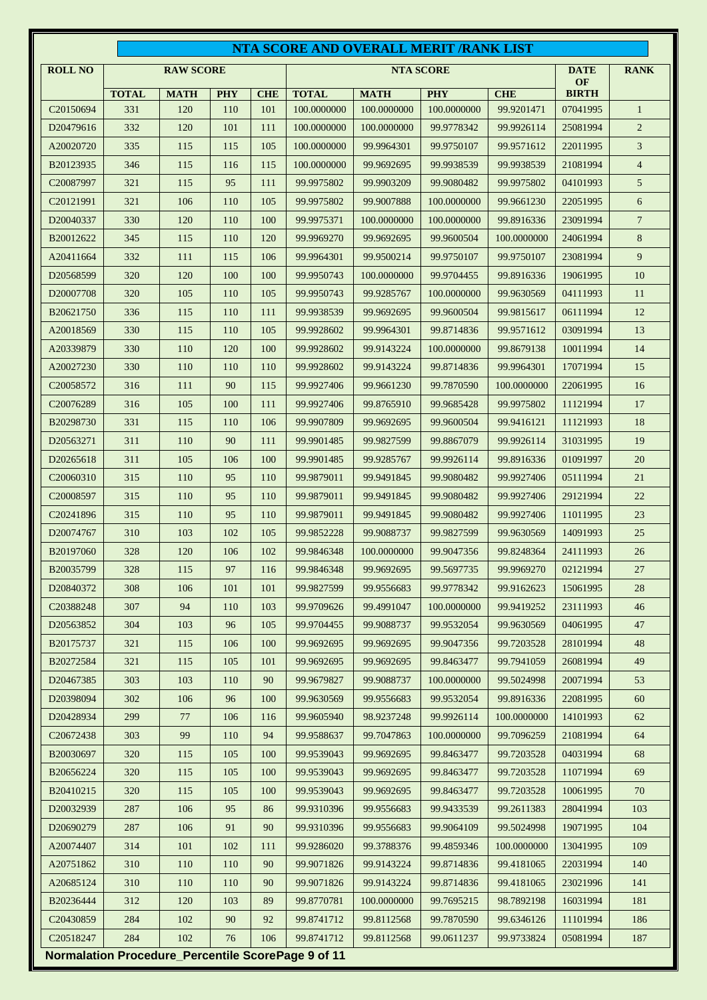| <b>RAW SCORE</b><br><b>NTA SCORE</b><br><b>DATE</b><br><b>ROLL NO</b><br>OF<br><b>PHY</b><br><b>CHE</b><br><b>BIRTH</b><br><b>TOTAL</b><br><b>MATH</b><br><b>PHY</b><br><b>CHE</b><br><b>TOTAL</b><br><b>MATH</b><br>331<br>120<br>101<br>100.0000000<br>99.9201471<br>C <sub>20150694</sub><br>110<br>100.0000000<br>100.0000000<br>07041995<br>D20479616<br>332<br>120<br>101<br>111<br>100.0000000<br>100.0000000<br>99.9778342<br>99.9926114<br>25081994<br>A20020720<br>335<br>115<br>105<br>100.0000000<br>99.9964301<br>99.9750107<br>99.9571612<br>22011995<br>115<br>B20123935<br>346<br>115<br>115<br>100.0000000<br>99.9938539<br>99.9938539<br>21081994<br>116<br>99.9692695<br>321<br>115<br>95<br>111<br>99.9975802<br>99.9903209<br>99.9080482<br>99.9975802<br>04101993<br>C <sub>20087997</sub><br>321<br>106<br>110<br>105<br>22051995<br>C <sub>20121991</sub><br>99.9975802<br>99.9007888<br>100.0000000<br>99.9661230<br>330<br>120<br>99.9975371<br>99.8916336<br>23091994<br>D <sub>20040337</sub><br>110<br>100<br>100.0000000<br>100.0000000<br>345<br>115<br>110<br>120<br>99.9969270<br>99.9692695<br>B20012622<br>99.9600504<br>100.0000000<br>24061994<br>332<br>A20411664<br>111<br>115<br>106<br>99.9964301<br>99.9500214<br>99.9750107<br>99.9750107<br>23081994<br>320<br>120<br>100<br>100<br>D <sub>20568599</sub><br>99.9950743<br>100.0000000<br>99.9704455<br>99.8916336<br>19061995<br>320<br>105<br>110<br>105<br>99.9950743<br>99.9285767<br>04111993<br>D <sub>20007708</sub><br>100.0000000<br>99.9630569<br>336<br>115<br>110<br>111<br>99.9938539<br>99.9692695<br>99.9600504<br>99.9815617<br>B <sub>20621750</sub><br>06111994<br>330<br>115<br>105<br>03091994<br>A20018569<br>110<br>99.9928602<br>99.9964301<br>99.8714836<br>99.9571612<br>A20339879<br>330<br>110<br>120<br>100<br>99.9928602<br>99.9143224<br>100.0000000<br>99.8679138<br>10011994<br>A20027230<br>330<br>110<br>110<br>110<br>99.9928602<br>99.9143224<br>99.8714836<br>99.9964301<br>17071994<br>C <sub>20058572</sub><br>316<br>111<br>90<br>115<br>99.9927406<br>22061995<br>99.9661230<br>99.7870590<br>100.0000000<br>316<br>105<br>100<br>111<br>99.9975802<br>C <sub>20076289</sub><br>99.9927406<br>99.8765910<br>99.9685428<br>11121994<br>331<br>115<br>110<br>106<br>B20298730<br>99.9907809<br>99.9692695<br>99.9600504<br>99.9416121<br>11121993<br>311<br>110<br>90<br>111<br>99.9901485<br>99.9827599<br>99.8867079<br>99.9926114<br>31031995<br>D <sub>20563271</sub><br>311<br>105<br>100<br>99.9901485<br>D20265618<br>106<br>99.9285767<br>99.9926114<br>99.8916336<br>01091997<br>315<br>110<br>C <sub>20060310</sub><br>95<br>110<br>99.9879011<br>99.9491845<br>99.9080482<br>99.9927406<br>05111994<br>315<br>110<br>C <sub>20008597</sub><br>110<br>95<br>99.9879011<br>99.9491845<br>99.9080482<br>99.9927406<br>29121994<br>315<br>110<br>95<br>110<br>C <sub>20241896</sub><br>99.9879011<br>99.9491845<br>99.9080482<br>99.9927406<br>11011995<br>310<br>103<br>102<br>105<br>99.9852228<br>99.9827599<br>99.9630569<br>14091993<br>D <sub>20074767</sub><br>99.9088737<br>328<br>120<br>102<br>B20197060<br>106<br>99.9846348<br>100.0000000<br>99.9047356<br>99.8248364<br>24111993<br>B20035799<br>328<br>115<br>97<br>99.9846348<br>99.9692695<br>99.5697735<br>99.9969270<br>02121994<br>116<br>D20840372<br>308<br>106<br>101<br>101<br>99.9827599<br>99.9556683<br>99.9778342<br>99.9162623<br>15061995<br>C20388248<br>307<br>94<br>110<br>103<br>99.4991047<br>100.0000000<br>99.9419252<br>23111993<br>99.9709626<br>D20563852<br>304<br>103<br>105<br>99.9704455<br>99.9088737<br>99.9532054<br>99.9630569<br>04061995<br>96<br>321<br>115<br>106<br>100<br>99.9047356<br>99.7203528<br>28101994<br>B20175737<br>99.9692695<br>99.9692695<br>B20272584<br>321<br>99.9692695<br>99.9692695<br>99.8463477<br>99.7941059<br>26081994<br>115<br>105<br>101<br>D20467385<br>303<br>103<br>90<br>99.9679827<br>99.9088737<br>100.0000000<br>99.5024998<br>20071994<br>110<br>302<br>22081995<br>D20398094<br>106<br>96<br>100<br>99.9630569<br>99.9556683<br>99.9532054<br>99.8916336<br>299<br>77<br>99.9605940<br>98.9237248<br>99.9926114<br>100.0000000<br>D20428934<br>106<br>116<br>14101993<br>C20672438<br>303<br>99<br>110<br>94<br>99.9588637<br>99.7047863<br>100.0000000<br>99.7096259<br>21081994<br>B20030697<br>320<br>99.9539043<br>99.9692695<br>99.8463477<br>99.7203528<br>04031994<br>115<br>105<br>100<br>320<br>115<br>100<br>99.9539043<br>99.8463477<br>99.7203528<br>11071994<br>B20656224<br>105<br>99.9692695 |     |     |     |     |            |  | NTA SCORE AND OVERALL MERIT /RANK LIST |            |             |                |
|--------------------------------------------------------------------------------------------------------------------------------------------------------------------------------------------------------------------------------------------------------------------------------------------------------------------------------------------------------------------------------------------------------------------------------------------------------------------------------------------------------------------------------------------------------------------------------------------------------------------------------------------------------------------------------------------------------------------------------------------------------------------------------------------------------------------------------------------------------------------------------------------------------------------------------------------------------------------------------------------------------------------------------------------------------------------------------------------------------------------------------------------------------------------------------------------------------------------------------------------------------------------------------------------------------------------------------------------------------------------------------------------------------------------------------------------------------------------------------------------------------------------------------------------------------------------------------------------------------------------------------------------------------------------------------------------------------------------------------------------------------------------------------------------------------------------------------------------------------------------------------------------------------------------------------------------------------------------------------------------------------------------------------------------------------------------------------------------------------------------------------------------------------------------------------------------------------------------------------------------------------------------------------------------------------------------------------------------------------------------------------------------------------------------------------------------------------------------------------------------------------------------------------------------------------------------------------------------------------------------------------------------------------------------------------------------------------------------------------------------------------------------------------------------------------------------------------------------------------------------------------------------------------------------------------------------------------------------------------------------------------------------------------------------------------------------------------------------------------------------------------------------------------------------------------------------------------------------------------------------------------------------------------------------------------------------------------------------------------------------------------------------------------------------------------------------------------------------------------------------------------------------------------------------------------------------------------------------------------------------------------------------------------------------------------------------------------------------------------------------------------------------------------------------------------------------------------------------------------------------------------------------------------------------------------------------------------------------------------------------------------------------------------------------------------------------------------------------------------------------------------------------------------------------------------------------------------------------------------------------------------------------------------------------------------------------------------------------------------------------------------------------------------------------------------------------------------------------------------------------------------------------------------------------------------------------------------------------------|-----|-----|-----|-----|------------|--|----------------------------------------|------------|-------------|----------------|
|                                                                                                                                                                                                                                                                                                                                                                                                                                                                                                                                                                                                                                                                                                                                                                                                                                                                                                                                                                                                                                                                                                                                                                                                                                                                                                                                                                                                                                                                                                                                                                                                                                                                                                                                                                                                                                                                                                                                                                                                                                                                                                                                                                                                                                                                                                                                                                                                                                                                                                                                                                                                                                                                                                                                                                                                                                                                                                                                                                                                                                                                                                                                                                                                                                                                                                                                                                                                                                                                                                                                                                                                                                                                                                                                                                                                                                                                                                                                                                                                                                                                                                                                                                                                                                                                                                                                                                                                                                                                                                                                                                                                  |     |     |     |     |            |  |                                        |            | <b>RANK</b> |                |
|                                                                                                                                                                                                                                                                                                                                                                                                                                                                                                                                                                                                                                                                                                                                                                                                                                                                                                                                                                                                                                                                                                                                                                                                                                                                                                                                                                                                                                                                                                                                                                                                                                                                                                                                                                                                                                                                                                                                                                                                                                                                                                                                                                                                                                                                                                                                                                                                                                                                                                                                                                                                                                                                                                                                                                                                                                                                                                                                                                                                                                                                                                                                                                                                                                                                                                                                                                                                                                                                                                                                                                                                                                                                                                                                                                                                                                                                                                                                                                                                                                                                                                                                                                                                                                                                                                                                                                                                                                                                                                                                                                                                  |     |     |     |     |            |  |                                        |            |             |                |
|                                                                                                                                                                                                                                                                                                                                                                                                                                                                                                                                                                                                                                                                                                                                                                                                                                                                                                                                                                                                                                                                                                                                                                                                                                                                                                                                                                                                                                                                                                                                                                                                                                                                                                                                                                                                                                                                                                                                                                                                                                                                                                                                                                                                                                                                                                                                                                                                                                                                                                                                                                                                                                                                                                                                                                                                                                                                                                                                                                                                                                                                                                                                                                                                                                                                                                                                                                                                                                                                                                                                                                                                                                                                                                                                                                                                                                                                                                                                                                                                                                                                                                                                                                                                                                                                                                                                                                                                                                                                                                                                                                                                  |     |     |     |     |            |  |                                        |            |             | 1              |
|                                                                                                                                                                                                                                                                                                                                                                                                                                                                                                                                                                                                                                                                                                                                                                                                                                                                                                                                                                                                                                                                                                                                                                                                                                                                                                                                                                                                                                                                                                                                                                                                                                                                                                                                                                                                                                                                                                                                                                                                                                                                                                                                                                                                                                                                                                                                                                                                                                                                                                                                                                                                                                                                                                                                                                                                                                                                                                                                                                                                                                                                                                                                                                                                                                                                                                                                                                                                                                                                                                                                                                                                                                                                                                                                                                                                                                                                                                                                                                                                                                                                                                                                                                                                                                                                                                                                                                                                                                                                                                                                                                                                  |     |     |     |     |            |  |                                        |            |             | 2              |
|                                                                                                                                                                                                                                                                                                                                                                                                                                                                                                                                                                                                                                                                                                                                                                                                                                                                                                                                                                                                                                                                                                                                                                                                                                                                                                                                                                                                                                                                                                                                                                                                                                                                                                                                                                                                                                                                                                                                                                                                                                                                                                                                                                                                                                                                                                                                                                                                                                                                                                                                                                                                                                                                                                                                                                                                                                                                                                                                                                                                                                                                                                                                                                                                                                                                                                                                                                                                                                                                                                                                                                                                                                                                                                                                                                                                                                                                                                                                                                                                                                                                                                                                                                                                                                                                                                                                                                                                                                                                                                                                                                                                  |     |     |     |     |            |  |                                        |            |             | 3              |
|                                                                                                                                                                                                                                                                                                                                                                                                                                                                                                                                                                                                                                                                                                                                                                                                                                                                                                                                                                                                                                                                                                                                                                                                                                                                                                                                                                                                                                                                                                                                                                                                                                                                                                                                                                                                                                                                                                                                                                                                                                                                                                                                                                                                                                                                                                                                                                                                                                                                                                                                                                                                                                                                                                                                                                                                                                                                                                                                                                                                                                                                                                                                                                                                                                                                                                                                                                                                                                                                                                                                                                                                                                                                                                                                                                                                                                                                                                                                                                                                                                                                                                                                                                                                                                                                                                                                                                                                                                                                                                                                                                                                  |     |     |     |     |            |  |                                        |            |             | $\overline{4}$ |
|                                                                                                                                                                                                                                                                                                                                                                                                                                                                                                                                                                                                                                                                                                                                                                                                                                                                                                                                                                                                                                                                                                                                                                                                                                                                                                                                                                                                                                                                                                                                                                                                                                                                                                                                                                                                                                                                                                                                                                                                                                                                                                                                                                                                                                                                                                                                                                                                                                                                                                                                                                                                                                                                                                                                                                                                                                                                                                                                                                                                                                                                                                                                                                                                                                                                                                                                                                                                                                                                                                                                                                                                                                                                                                                                                                                                                                                                                                                                                                                                                                                                                                                                                                                                                                                                                                                                                                                                                                                                                                                                                                                                  |     |     |     |     |            |  |                                        |            |             | 5              |
|                                                                                                                                                                                                                                                                                                                                                                                                                                                                                                                                                                                                                                                                                                                                                                                                                                                                                                                                                                                                                                                                                                                                                                                                                                                                                                                                                                                                                                                                                                                                                                                                                                                                                                                                                                                                                                                                                                                                                                                                                                                                                                                                                                                                                                                                                                                                                                                                                                                                                                                                                                                                                                                                                                                                                                                                                                                                                                                                                                                                                                                                                                                                                                                                                                                                                                                                                                                                                                                                                                                                                                                                                                                                                                                                                                                                                                                                                                                                                                                                                                                                                                                                                                                                                                                                                                                                                                                                                                                                                                                                                                                                  |     |     |     |     |            |  |                                        |            |             | 6              |
|                                                                                                                                                                                                                                                                                                                                                                                                                                                                                                                                                                                                                                                                                                                                                                                                                                                                                                                                                                                                                                                                                                                                                                                                                                                                                                                                                                                                                                                                                                                                                                                                                                                                                                                                                                                                                                                                                                                                                                                                                                                                                                                                                                                                                                                                                                                                                                                                                                                                                                                                                                                                                                                                                                                                                                                                                                                                                                                                                                                                                                                                                                                                                                                                                                                                                                                                                                                                                                                                                                                                                                                                                                                                                                                                                                                                                                                                                                                                                                                                                                                                                                                                                                                                                                                                                                                                                                                                                                                                                                                                                                                                  |     |     |     |     |            |  |                                        |            |             | $\tau$         |
|                                                                                                                                                                                                                                                                                                                                                                                                                                                                                                                                                                                                                                                                                                                                                                                                                                                                                                                                                                                                                                                                                                                                                                                                                                                                                                                                                                                                                                                                                                                                                                                                                                                                                                                                                                                                                                                                                                                                                                                                                                                                                                                                                                                                                                                                                                                                                                                                                                                                                                                                                                                                                                                                                                                                                                                                                                                                                                                                                                                                                                                                                                                                                                                                                                                                                                                                                                                                                                                                                                                                                                                                                                                                                                                                                                                                                                                                                                                                                                                                                                                                                                                                                                                                                                                                                                                                                                                                                                                                                                                                                                                                  |     |     |     |     |            |  |                                        |            |             | 8              |
|                                                                                                                                                                                                                                                                                                                                                                                                                                                                                                                                                                                                                                                                                                                                                                                                                                                                                                                                                                                                                                                                                                                                                                                                                                                                                                                                                                                                                                                                                                                                                                                                                                                                                                                                                                                                                                                                                                                                                                                                                                                                                                                                                                                                                                                                                                                                                                                                                                                                                                                                                                                                                                                                                                                                                                                                                                                                                                                                                                                                                                                                                                                                                                                                                                                                                                                                                                                                                                                                                                                                                                                                                                                                                                                                                                                                                                                                                                                                                                                                                                                                                                                                                                                                                                                                                                                                                                                                                                                                                                                                                                                                  |     |     |     |     |            |  |                                        |            |             | 9              |
|                                                                                                                                                                                                                                                                                                                                                                                                                                                                                                                                                                                                                                                                                                                                                                                                                                                                                                                                                                                                                                                                                                                                                                                                                                                                                                                                                                                                                                                                                                                                                                                                                                                                                                                                                                                                                                                                                                                                                                                                                                                                                                                                                                                                                                                                                                                                                                                                                                                                                                                                                                                                                                                                                                                                                                                                                                                                                                                                                                                                                                                                                                                                                                                                                                                                                                                                                                                                                                                                                                                                                                                                                                                                                                                                                                                                                                                                                                                                                                                                                                                                                                                                                                                                                                                                                                                                                                                                                                                                                                                                                                                                  |     |     |     |     |            |  |                                        |            |             | 10             |
|                                                                                                                                                                                                                                                                                                                                                                                                                                                                                                                                                                                                                                                                                                                                                                                                                                                                                                                                                                                                                                                                                                                                                                                                                                                                                                                                                                                                                                                                                                                                                                                                                                                                                                                                                                                                                                                                                                                                                                                                                                                                                                                                                                                                                                                                                                                                                                                                                                                                                                                                                                                                                                                                                                                                                                                                                                                                                                                                                                                                                                                                                                                                                                                                                                                                                                                                                                                                                                                                                                                                                                                                                                                                                                                                                                                                                                                                                                                                                                                                                                                                                                                                                                                                                                                                                                                                                                                                                                                                                                                                                                                                  |     |     |     |     |            |  |                                        |            |             | 11             |
|                                                                                                                                                                                                                                                                                                                                                                                                                                                                                                                                                                                                                                                                                                                                                                                                                                                                                                                                                                                                                                                                                                                                                                                                                                                                                                                                                                                                                                                                                                                                                                                                                                                                                                                                                                                                                                                                                                                                                                                                                                                                                                                                                                                                                                                                                                                                                                                                                                                                                                                                                                                                                                                                                                                                                                                                                                                                                                                                                                                                                                                                                                                                                                                                                                                                                                                                                                                                                                                                                                                                                                                                                                                                                                                                                                                                                                                                                                                                                                                                                                                                                                                                                                                                                                                                                                                                                                                                                                                                                                                                                                                                  |     |     |     |     |            |  |                                        |            |             | 12             |
|                                                                                                                                                                                                                                                                                                                                                                                                                                                                                                                                                                                                                                                                                                                                                                                                                                                                                                                                                                                                                                                                                                                                                                                                                                                                                                                                                                                                                                                                                                                                                                                                                                                                                                                                                                                                                                                                                                                                                                                                                                                                                                                                                                                                                                                                                                                                                                                                                                                                                                                                                                                                                                                                                                                                                                                                                                                                                                                                                                                                                                                                                                                                                                                                                                                                                                                                                                                                                                                                                                                                                                                                                                                                                                                                                                                                                                                                                                                                                                                                                                                                                                                                                                                                                                                                                                                                                                                                                                                                                                                                                                                                  |     |     |     |     |            |  |                                        |            |             | 13             |
|                                                                                                                                                                                                                                                                                                                                                                                                                                                                                                                                                                                                                                                                                                                                                                                                                                                                                                                                                                                                                                                                                                                                                                                                                                                                                                                                                                                                                                                                                                                                                                                                                                                                                                                                                                                                                                                                                                                                                                                                                                                                                                                                                                                                                                                                                                                                                                                                                                                                                                                                                                                                                                                                                                                                                                                                                                                                                                                                                                                                                                                                                                                                                                                                                                                                                                                                                                                                                                                                                                                                                                                                                                                                                                                                                                                                                                                                                                                                                                                                                                                                                                                                                                                                                                                                                                                                                                                                                                                                                                                                                                                                  |     |     |     |     |            |  |                                        |            |             | 14             |
|                                                                                                                                                                                                                                                                                                                                                                                                                                                                                                                                                                                                                                                                                                                                                                                                                                                                                                                                                                                                                                                                                                                                                                                                                                                                                                                                                                                                                                                                                                                                                                                                                                                                                                                                                                                                                                                                                                                                                                                                                                                                                                                                                                                                                                                                                                                                                                                                                                                                                                                                                                                                                                                                                                                                                                                                                                                                                                                                                                                                                                                                                                                                                                                                                                                                                                                                                                                                                                                                                                                                                                                                                                                                                                                                                                                                                                                                                                                                                                                                                                                                                                                                                                                                                                                                                                                                                                                                                                                                                                                                                                                                  |     |     |     |     |            |  |                                        |            |             | 15             |
|                                                                                                                                                                                                                                                                                                                                                                                                                                                                                                                                                                                                                                                                                                                                                                                                                                                                                                                                                                                                                                                                                                                                                                                                                                                                                                                                                                                                                                                                                                                                                                                                                                                                                                                                                                                                                                                                                                                                                                                                                                                                                                                                                                                                                                                                                                                                                                                                                                                                                                                                                                                                                                                                                                                                                                                                                                                                                                                                                                                                                                                                                                                                                                                                                                                                                                                                                                                                                                                                                                                                                                                                                                                                                                                                                                                                                                                                                                                                                                                                                                                                                                                                                                                                                                                                                                                                                                                                                                                                                                                                                                                                  |     |     |     |     |            |  |                                        |            |             | 16             |
|                                                                                                                                                                                                                                                                                                                                                                                                                                                                                                                                                                                                                                                                                                                                                                                                                                                                                                                                                                                                                                                                                                                                                                                                                                                                                                                                                                                                                                                                                                                                                                                                                                                                                                                                                                                                                                                                                                                                                                                                                                                                                                                                                                                                                                                                                                                                                                                                                                                                                                                                                                                                                                                                                                                                                                                                                                                                                                                                                                                                                                                                                                                                                                                                                                                                                                                                                                                                                                                                                                                                                                                                                                                                                                                                                                                                                                                                                                                                                                                                                                                                                                                                                                                                                                                                                                                                                                                                                                                                                                                                                                                                  |     |     |     |     |            |  |                                        |            |             | 17             |
|                                                                                                                                                                                                                                                                                                                                                                                                                                                                                                                                                                                                                                                                                                                                                                                                                                                                                                                                                                                                                                                                                                                                                                                                                                                                                                                                                                                                                                                                                                                                                                                                                                                                                                                                                                                                                                                                                                                                                                                                                                                                                                                                                                                                                                                                                                                                                                                                                                                                                                                                                                                                                                                                                                                                                                                                                                                                                                                                                                                                                                                                                                                                                                                                                                                                                                                                                                                                                                                                                                                                                                                                                                                                                                                                                                                                                                                                                                                                                                                                                                                                                                                                                                                                                                                                                                                                                                                                                                                                                                                                                                                                  |     |     |     |     |            |  |                                        |            |             | 18             |
|                                                                                                                                                                                                                                                                                                                                                                                                                                                                                                                                                                                                                                                                                                                                                                                                                                                                                                                                                                                                                                                                                                                                                                                                                                                                                                                                                                                                                                                                                                                                                                                                                                                                                                                                                                                                                                                                                                                                                                                                                                                                                                                                                                                                                                                                                                                                                                                                                                                                                                                                                                                                                                                                                                                                                                                                                                                                                                                                                                                                                                                                                                                                                                                                                                                                                                                                                                                                                                                                                                                                                                                                                                                                                                                                                                                                                                                                                                                                                                                                                                                                                                                                                                                                                                                                                                                                                                                                                                                                                                                                                                                                  |     |     |     |     |            |  |                                        |            |             | 19             |
|                                                                                                                                                                                                                                                                                                                                                                                                                                                                                                                                                                                                                                                                                                                                                                                                                                                                                                                                                                                                                                                                                                                                                                                                                                                                                                                                                                                                                                                                                                                                                                                                                                                                                                                                                                                                                                                                                                                                                                                                                                                                                                                                                                                                                                                                                                                                                                                                                                                                                                                                                                                                                                                                                                                                                                                                                                                                                                                                                                                                                                                                                                                                                                                                                                                                                                                                                                                                                                                                                                                                                                                                                                                                                                                                                                                                                                                                                                                                                                                                                                                                                                                                                                                                                                                                                                                                                                                                                                                                                                                                                                                                  |     |     |     |     |            |  |                                        |            |             | 20             |
|                                                                                                                                                                                                                                                                                                                                                                                                                                                                                                                                                                                                                                                                                                                                                                                                                                                                                                                                                                                                                                                                                                                                                                                                                                                                                                                                                                                                                                                                                                                                                                                                                                                                                                                                                                                                                                                                                                                                                                                                                                                                                                                                                                                                                                                                                                                                                                                                                                                                                                                                                                                                                                                                                                                                                                                                                                                                                                                                                                                                                                                                                                                                                                                                                                                                                                                                                                                                                                                                                                                                                                                                                                                                                                                                                                                                                                                                                                                                                                                                                                                                                                                                                                                                                                                                                                                                                                                                                                                                                                                                                                                                  |     |     |     |     |            |  |                                        |            |             | 21             |
|                                                                                                                                                                                                                                                                                                                                                                                                                                                                                                                                                                                                                                                                                                                                                                                                                                                                                                                                                                                                                                                                                                                                                                                                                                                                                                                                                                                                                                                                                                                                                                                                                                                                                                                                                                                                                                                                                                                                                                                                                                                                                                                                                                                                                                                                                                                                                                                                                                                                                                                                                                                                                                                                                                                                                                                                                                                                                                                                                                                                                                                                                                                                                                                                                                                                                                                                                                                                                                                                                                                                                                                                                                                                                                                                                                                                                                                                                                                                                                                                                                                                                                                                                                                                                                                                                                                                                                                                                                                                                                                                                                                                  |     |     |     |     |            |  |                                        |            |             | 22             |
|                                                                                                                                                                                                                                                                                                                                                                                                                                                                                                                                                                                                                                                                                                                                                                                                                                                                                                                                                                                                                                                                                                                                                                                                                                                                                                                                                                                                                                                                                                                                                                                                                                                                                                                                                                                                                                                                                                                                                                                                                                                                                                                                                                                                                                                                                                                                                                                                                                                                                                                                                                                                                                                                                                                                                                                                                                                                                                                                                                                                                                                                                                                                                                                                                                                                                                                                                                                                                                                                                                                                                                                                                                                                                                                                                                                                                                                                                                                                                                                                                                                                                                                                                                                                                                                                                                                                                                                                                                                                                                                                                                                                  |     |     |     |     |            |  |                                        |            |             | 23             |
|                                                                                                                                                                                                                                                                                                                                                                                                                                                                                                                                                                                                                                                                                                                                                                                                                                                                                                                                                                                                                                                                                                                                                                                                                                                                                                                                                                                                                                                                                                                                                                                                                                                                                                                                                                                                                                                                                                                                                                                                                                                                                                                                                                                                                                                                                                                                                                                                                                                                                                                                                                                                                                                                                                                                                                                                                                                                                                                                                                                                                                                                                                                                                                                                                                                                                                                                                                                                                                                                                                                                                                                                                                                                                                                                                                                                                                                                                                                                                                                                                                                                                                                                                                                                                                                                                                                                                                                                                                                                                                                                                                                                  |     |     |     |     |            |  |                                        |            |             | 25             |
|                                                                                                                                                                                                                                                                                                                                                                                                                                                                                                                                                                                                                                                                                                                                                                                                                                                                                                                                                                                                                                                                                                                                                                                                                                                                                                                                                                                                                                                                                                                                                                                                                                                                                                                                                                                                                                                                                                                                                                                                                                                                                                                                                                                                                                                                                                                                                                                                                                                                                                                                                                                                                                                                                                                                                                                                                                                                                                                                                                                                                                                                                                                                                                                                                                                                                                                                                                                                                                                                                                                                                                                                                                                                                                                                                                                                                                                                                                                                                                                                                                                                                                                                                                                                                                                                                                                                                                                                                                                                                                                                                                                                  |     |     |     |     |            |  |                                        |            |             | 26             |
|                                                                                                                                                                                                                                                                                                                                                                                                                                                                                                                                                                                                                                                                                                                                                                                                                                                                                                                                                                                                                                                                                                                                                                                                                                                                                                                                                                                                                                                                                                                                                                                                                                                                                                                                                                                                                                                                                                                                                                                                                                                                                                                                                                                                                                                                                                                                                                                                                                                                                                                                                                                                                                                                                                                                                                                                                                                                                                                                                                                                                                                                                                                                                                                                                                                                                                                                                                                                                                                                                                                                                                                                                                                                                                                                                                                                                                                                                                                                                                                                                                                                                                                                                                                                                                                                                                                                                                                                                                                                                                                                                                                                  |     |     |     |     |            |  |                                        |            |             | 27             |
|                                                                                                                                                                                                                                                                                                                                                                                                                                                                                                                                                                                                                                                                                                                                                                                                                                                                                                                                                                                                                                                                                                                                                                                                                                                                                                                                                                                                                                                                                                                                                                                                                                                                                                                                                                                                                                                                                                                                                                                                                                                                                                                                                                                                                                                                                                                                                                                                                                                                                                                                                                                                                                                                                                                                                                                                                                                                                                                                                                                                                                                                                                                                                                                                                                                                                                                                                                                                                                                                                                                                                                                                                                                                                                                                                                                                                                                                                                                                                                                                                                                                                                                                                                                                                                                                                                                                                                                                                                                                                                                                                                                                  |     |     |     |     |            |  |                                        |            |             | 28             |
|                                                                                                                                                                                                                                                                                                                                                                                                                                                                                                                                                                                                                                                                                                                                                                                                                                                                                                                                                                                                                                                                                                                                                                                                                                                                                                                                                                                                                                                                                                                                                                                                                                                                                                                                                                                                                                                                                                                                                                                                                                                                                                                                                                                                                                                                                                                                                                                                                                                                                                                                                                                                                                                                                                                                                                                                                                                                                                                                                                                                                                                                                                                                                                                                                                                                                                                                                                                                                                                                                                                                                                                                                                                                                                                                                                                                                                                                                                                                                                                                                                                                                                                                                                                                                                                                                                                                                                                                                                                                                                                                                                                                  |     |     |     |     |            |  |                                        |            |             | 46             |
|                                                                                                                                                                                                                                                                                                                                                                                                                                                                                                                                                                                                                                                                                                                                                                                                                                                                                                                                                                                                                                                                                                                                                                                                                                                                                                                                                                                                                                                                                                                                                                                                                                                                                                                                                                                                                                                                                                                                                                                                                                                                                                                                                                                                                                                                                                                                                                                                                                                                                                                                                                                                                                                                                                                                                                                                                                                                                                                                                                                                                                                                                                                                                                                                                                                                                                                                                                                                                                                                                                                                                                                                                                                                                                                                                                                                                                                                                                                                                                                                                                                                                                                                                                                                                                                                                                                                                                                                                                                                                                                                                                                                  |     |     |     |     |            |  |                                        |            |             | 47             |
|                                                                                                                                                                                                                                                                                                                                                                                                                                                                                                                                                                                                                                                                                                                                                                                                                                                                                                                                                                                                                                                                                                                                                                                                                                                                                                                                                                                                                                                                                                                                                                                                                                                                                                                                                                                                                                                                                                                                                                                                                                                                                                                                                                                                                                                                                                                                                                                                                                                                                                                                                                                                                                                                                                                                                                                                                                                                                                                                                                                                                                                                                                                                                                                                                                                                                                                                                                                                                                                                                                                                                                                                                                                                                                                                                                                                                                                                                                                                                                                                                                                                                                                                                                                                                                                                                                                                                                                                                                                                                                                                                                                                  |     |     |     |     |            |  |                                        |            |             | 48             |
|                                                                                                                                                                                                                                                                                                                                                                                                                                                                                                                                                                                                                                                                                                                                                                                                                                                                                                                                                                                                                                                                                                                                                                                                                                                                                                                                                                                                                                                                                                                                                                                                                                                                                                                                                                                                                                                                                                                                                                                                                                                                                                                                                                                                                                                                                                                                                                                                                                                                                                                                                                                                                                                                                                                                                                                                                                                                                                                                                                                                                                                                                                                                                                                                                                                                                                                                                                                                                                                                                                                                                                                                                                                                                                                                                                                                                                                                                                                                                                                                                                                                                                                                                                                                                                                                                                                                                                                                                                                                                                                                                                                                  |     |     |     |     |            |  |                                        |            |             | 49             |
|                                                                                                                                                                                                                                                                                                                                                                                                                                                                                                                                                                                                                                                                                                                                                                                                                                                                                                                                                                                                                                                                                                                                                                                                                                                                                                                                                                                                                                                                                                                                                                                                                                                                                                                                                                                                                                                                                                                                                                                                                                                                                                                                                                                                                                                                                                                                                                                                                                                                                                                                                                                                                                                                                                                                                                                                                                                                                                                                                                                                                                                                                                                                                                                                                                                                                                                                                                                                                                                                                                                                                                                                                                                                                                                                                                                                                                                                                                                                                                                                                                                                                                                                                                                                                                                                                                                                                                                                                                                                                                                                                                                                  |     |     |     |     |            |  |                                        |            |             | 53             |
|                                                                                                                                                                                                                                                                                                                                                                                                                                                                                                                                                                                                                                                                                                                                                                                                                                                                                                                                                                                                                                                                                                                                                                                                                                                                                                                                                                                                                                                                                                                                                                                                                                                                                                                                                                                                                                                                                                                                                                                                                                                                                                                                                                                                                                                                                                                                                                                                                                                                                                                                                                                                                                                                                                                                                                                                                                                                                                                                                                                                                                                                                                                                                                                                                                                                                                                                                                                                                                                                                                                                                                                                                                                                                                                                                                                                                                                                                                                                                                                                                                                                                                                                                                                                                                                                                                                                                                                                                                                                                                                                                                                                  |     |     |     |     |            |  |                                        |            |             | 60             |
|                                                                                                                                                                                                                                                                                                                                                                                                                                                                                                                                                                                                                                                                                                                                                                                                                                                                                                                                                                                                                                                                                                                                                                                                                                                                                                                                                                                                                                                                                                                                                                                                                                                                                                                                                                                                                                                                                                                                                                                                                                                                                                                                                                                                                                                                                                                                                                                                                                                                                                                                                                                                                                                                                                                                                                                                                                                                                                                                                                                                                                                                                                                                                                                                                                                                                                                                                                                                                                                                                                                                                                                                                                                                                                                                                                                                                                                                                                                                                                                                                                                                                                                                                                                                                                                                                                                                                                                                                                                                                                                                                                                                  |     |     |     |     |            |  |                                        |            |             | 62             |
|                                                                                                                                                                                                                                                                                                                                                                                                                                                                                                                                                                                                                                                                                                                                                                                                                                                                                                                                                                                                                                                                                                                                                                                                                                                                                                                                                                                                                                                                                                                                                                                                                                                                                                                                                                                                                                                                                                                                                                                                                                                                                                                                                                                                                                                                                                                                                                                                                                                                                                                                                                                                                                                                                                                                                                                                                                                                                                                                                                                                                                                                                                                                                                                                                                                                                                                                                                                                                                                                                                                                                                                                                                                                                                                                                                                                                                                                                                                                                                                                                                                                                                                                                                                                                                                                                                                                                                                                                                                                                                                                                                                                  |     |     |     |     |            |  |                                        |            |             | 64             |
|                                                                                                                                                                                                                                                                                                                                                                                                                                                                                                                                                                                                                                                                                                                                                                                                                                                                                                                                                                                                                                                                                                                                                                                                                                                                                                                                                                                                                                                                                                                                                                                                                                                                                                                                                                                                                                                                                                                                                                                                                                                                                                                                                                                                                                                                                                                                                                                                                                                                                                                                                                                                                                                                                                                                                                                                                                                                                                                                                                                                                                                                                                                                                                                                                                                                                                                                                                                                                                                                                                                                                                                                                                                                                                                                                                                                                                                                                                                                                                                                                                                                                                                                                                                                                                                                                                                                                                                                                                                                                                                                                                                                  |     |     |     |     |            |  |                                        |            |             | 68             |
|                                                                                                                                                                                                                                                                                                                                                                                                                                                                                                                                                                                                                                                                                                                                                                                                                                                                                                                                                                                                                                                                                                                                                                                                                                                                                                                                                                                                                                                                                                                                                                                                                                                                                                                                                                                                                                                                                                                                                                                                                                                                                                                                                                                                                                                                                                                                                                                                                                                                                                                                                                                                                                                                                                                                                                                                                                                                                                                                                                                                                                                                                                                                                                                                                                                                                                                                                                                                                                                                                                                                                                                                                                                                                                                                                                                                                                                                                                                                                                                                                                                                                                                                                                                                                                                                                                                                                                                                                                                                                                                                                                                                  |     |     |     |     |            |  |                                        |            |             | 69             |
| B20410215<br>99.9692695                                                                                                                                                                                                                                                                                                                                                                                                                                                                                                                                                                                                                                                                                                                                                                                                                                                                                                                                                                                                                                                                                                                                                                                                                                                                                                                                                                                                                                                                                                                                                                                                                                                                                                                                                                                                                                                                                                                                                                                                                                                                                                                                                                                                                                                                                                                                                                                                                                                                                                                                                                                                                                                                                                                                                                                                                                                                                                                                                                                                                                                                                                                                                                                                                                                                                                                                                                                                                                                                                                                                                                                                                                                                                                                                                                                                                                                                                                                                                                                                                                                                                                                                                                                                                                                                                                                                                                                                                                                                                                                                                                          | 320 | 115 | 105 | 100 | 99.9539043 |  | 99.8463477                             | 99.7203528 | 10061995    | 70             |
| D20032939<br>287<br>99.9310396<br>99.9433539<br>99.2611383<br>106<br>95<br>86<br>99.9556683<br>28041994                                                                                                                                                                                                                                                                                                                                                                                                                                                                                                                                                                                                                                                                                                                                                                                                                                                                                                                                                                                                                                                                                                                                                                                                                                                                                                                                                                                                                                                                                                                                                                                                                                                                                                                                                                                                                                                                                                                                                                                                                                                                                                                                                                                                                                                                                                                                                                                                                                                                                                                                                                                                                                                                                                                                                                                                                                                                                                                                                                                                                                                                                                                                                                                                                                                                                                                                                                                                                                                                                                                                                                                                                                                                                                                                                                                                                                                                                                                                                                                                                                                                                                                                                                                                                                                                                                                                                                                                                                                                                          |     |     |     |     |            |  |                                        |            |             | 103            |
| D20690279<br>287<br>106<br>91<br>90<br>99.9310396<br>99.9556683<br>99.9064109<br>99.5024998<br>19071995                                                                                                                                                                                                                                                                                                                                                                                                                                                                                                                                                                                                                                                                                                                                                                                                                                                                                                                                                                                                                                                                                                                                                                                                                                                                                                                                                                                                                                                                                                                                                                                                                                                                                                                                                                                                                                                                                                                                                                                                                                                                                                                                                                                                                                                                                                                                                                                                                                                                                                                                                                                                                                                                                                                                                                                                                                                                                                                                                                                                                                                                                                                                                                                                                                                                                                                                                                                                                                                                                                                                                                                                                                                                                                                                                                                                                                                                                                                                                                                                                                                                                                                                                                                                                                                                                                                                                                                                                                                                                          |     |     |     |     |            |  |                                        |            |             | 104            |
| A20074407<br>314<br>102<br>99.9286020<br>99.3788376<br>99.4859346<br>100.0000000<br>13041995                                                                                                                                                                                                                                                                                                                                                                                                                                                                                                                                                                                                                                                                                                                                                                                                                                                                                                                                                                                                                                                                                                                                                                                                                                                                                                                                                                                                                                                                                                                                                                                                                                                                                                                                                                                                                                                                                                                                                                                                                                                                                                                                                                                                                                                                                                                                                                                                                                                                                                                                                                                                                                                                                                                                                                                                                                                                                                                                                                                                                                                                                                                                                                                                                                                                                                                                                                                                                                                                                                                                                                                                                                                                                                                                                                                                                                                                                                                                                                                                                                                                                                                                                                                                                                                                                                                                                                                                                                                                                                     |     |     |     |     |            |  |                                        |            |             | 109            |
| 101<br>111<br>90<br>310<br>110<br>99.9143224<br>99.4181065<br>22031994                                                                                                                                                                                                                                                                                                                                                                                                                                                                                                                                                                                                                                                                                                                                                                                                                                                                                                                                                                                                                                                                                                                                                                                                                                                                                                                                                                                                                                                                                                                                                                                                                                                                                                                                                                                                                                                                                                                                                                                                                                                                                                                                                                                                                                                                                                                                                                                                                                                                                                                                                                                                                                                                                                                                                                                                                                                                                                                                                                                                                                                                                                                                                                                                                                                                                                                                                                                                                                                                                                                                                                                                                                                                                                                                                                                                                                                                                                                                                                                                                                                                                                                                                                                                                                                                                                                                                                                                                                                                                                                           |     |     |     |     |            |  |                                        |            |             |                |
| 110<br>A20751862<br>99.9071826<br>99.8714836<br>A20685124<br>310<br>90<br>99.9071826<br>99.9143224<br>99.8714836<br>99.4181065<br>23021996                                                                                                                                                                                                                                                                                                                                                                                                                                                                                                                                                                                                                                                                                                                                                                                                                                                                                                                                                                                                                                                                                                                                                                                                                                                                                                                                                                                                                                                                                                                                                                                                                                                                                                                                                                                                                                                                                                                                                                                                                                                                                                                                                                                                                                                                                                                                                                                                                                                                                                                                                                                                                                                                                                                                                                                                                                                                                                                                                                                                                                                                                                                                                                                                                                                                                                                                                                                                                                                                                                                                                                                                                                                                                                                                                                                                                                                                                                                                                                                                                                                                                                                                                                                                                                                                                                                                                                                                                                                       |     |     |     |     |            |  |                                        |            |             | 140            |
| 110<br>110                                                                                                                                                                                                                                                                                                                                                                                                                                                                                                                                                                                                                                                                                                                                                                                                                                                                                                                                                                                                                                                                                                                                                                                                                                                                                                                                                                                                                                                                                                                                                                                                                                                                                                                                                                                                                                                                                                                                                                                                                                                                                                                                                                                                                                                                                                                                                                                                                                                                                                                                                                                                                                                                                                                                                                                                                                                                                                                                                                                                                                                                                                                                                                                                                                                                                                                                                                                                                                                                                                                                                                                                                                                                                                                                                                                                                                                                                                                                                                                                                                                                                                                                                                                                                                                                                                                                                                                                                                                                                                                                                                                       |     |     |     |     |            |  |                                        |            |             | 141            |
| 99.7695215<br>B20236444<br>312<br>120<br>103<br>89<br>99.8770781<br>100.0000000<br>98.7892198<br>16031994                                                                                                                                                                                                                                                                                                                                                                                                                                                                                                                                                                                                                                                                                                                                                                                                                                                                                                                                                                                                                                                                                                                                                                                                                                                                                                                                                                                                                                                                                                                                                                                                                                                                                                                                                                                                                                                                                                                                                                                                                                                                                                                                                                                                                                                                                                                                                                                                                                                                                                                                                                                                                                                                                                                                                                                                                                                                                                                                                                                                                                                                                                                                                                                                                                                                                                                                                                                                                                                                                                                                                                                                                                                                                                                                                                                                                                                                                                                                                                                                                                                                                                                                                                                                                                                                                                                                                                                                                                                                                        |     |     |     |     |            |  |                                        |            |             | 181            |
| 284<br>C20430859<br>102<br>90<br>92<br>99.8741712<br>99.8112568<br>99.7870590<br>99.6346126<br>11101994                                                                                                                                                                                                                                                                                                                                                                                                                                                                                                                                                                                                                                                                                                                                                                                                                                                                                                                                                                                                                                                                                                                                                                                                                                                                                                                                                                                                                                                                                                                                                                                                                                                                                                                                                                                                                                                                                                                                                                                                                                                                                                                                                                                                                                                                                                                                                                                                                                                                                                                                                                                                                                                                                                                                                                                                                                                                                                                                                                                                                                                                                                                                                                                                                                                                                                                                                                                                                                                                                                                                                                                                                                                                                                                                                                                                                                                                                                                                                                                                                                                                                                                                                                                                                                                                                                                                                                                                                                                                                          |     |     |     |     |            |  |                                        |            |             | 186            |
| C20518247<br>284<br>102<br>99.8741712<br>99.8112568<br>99.0611237<br>99.9733824<br>05081994<br>76<br>106<br>Normalation Procedure_Percentile ScorePage 9 of 11                                                                                                                                                                                                                                                                                                                                                                                                                                                                                                                                                                                                                                                                                                                                                                                                                                                                                                                                                                                                                                                                                                                                                                                                                                                                                                                                                                                                                                                                                                                                                                                                                                                                                                                                                                                                                                                                                                                                                                                                                                                                                                                                                                                                                                                                                                                                                                                                                                                                                                                                                                                                                                                                                                                                                                                                                                                                                                                                                                                                                                                                                                                                                                                                                                                                                                                                                                                                                                                                                                                                                                                                                                                                                                                                                                                                                                                                                                                                                                                                                                                                                                                                                                                                                                                                                                                                                                                                                                   |     |     |     |     |            |  |                                        |            |             | 187            |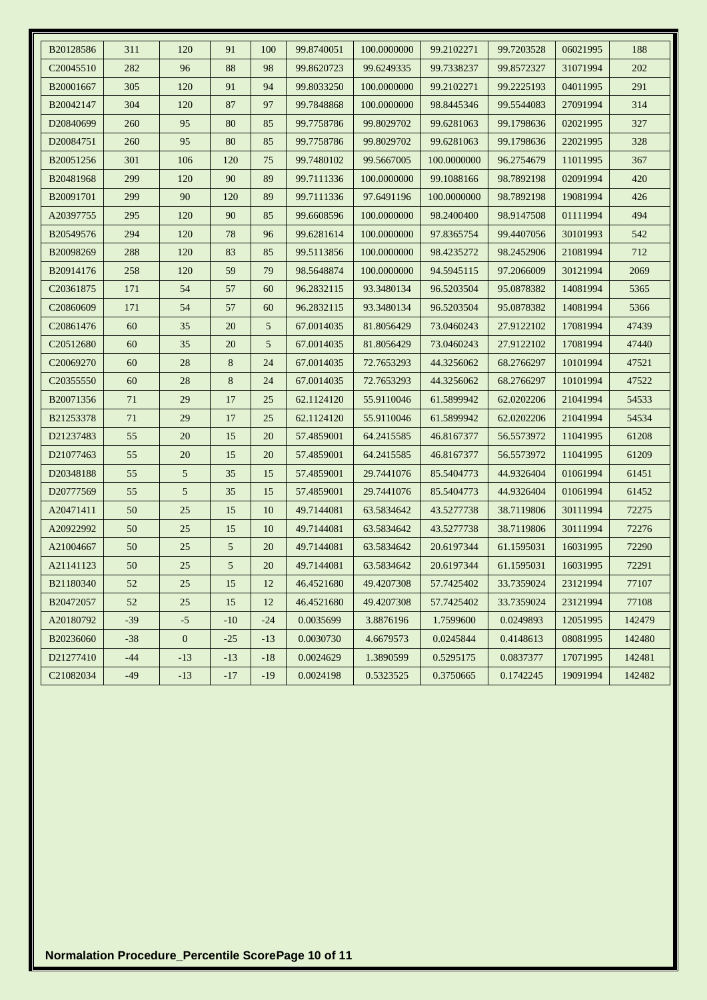| B20128586              | 311   | 120              | 91             | 100   | 99.8740051 | 100.0000000 | 99.2102271  | 99.7203528 | 06021995 | 188    |
|------------------------|-------|------------------|----------------|-------|------------|-------------|-------------|------------|----------|--------|
| C <sub>20045510</sub>  | 282   | 96               | 88             | 98    | 99.8620723 | 99.6249335  | 99.7338237  | 99.8572327 | 31071994 | 202    |
| B20001667              | 305   | 120              | 91             | 94    | 99.8033250 | 100.0000000 | 99.2102271  | 99.2225193 | 04011995 | 291    |
| B20042147              | 304   | 120              | 87             | 97    | 99.7848868 | 100.0000000 | 98.8445346  | 99.5544083 | 27091994 | 314    |
| D20840699              | 260   | 95               | 80             | 85    | 99.7758786 | 99.8029702  | 99.6281063  | 99.1798636 | 02021995 | 327    |
| D <sub>20084751</sub>  | 260   | 95               | 80             | 85    | 99.7758786 | 99.8029702  | 99.6281063  | 99.1798636 | 22021995 | 328    |
| B20051256              | 301   | 106              | 120            | 75    | 99.7480102 | 99.5667005  | 100.0000000 | 96.2754679 | 11011995 | 367    |
| B20481968              | 299   | 120              | 90             | 89    | 99.7111336 | 100.0000000 | 99.1088166  | 98.7892198 | 02091994 | 420    |
| B20091701              | 299   | 90               | 120            | 89    | 99.7111336 | 97.6491196  | 100.0000000 | 98.7892198 | 19081994 | 426    |
| A20397755              | 295   | 120              | 90             | 85    | 99.6608596 | 100.0000000 | 98.2400400  | 98.9147508 | 01111994 | 494    |
| B20549576              | 294   | 120              | 78             | 96    | 99.6281614 | 100.0000000 | 97.8365754  | 99.4407056 | 30101993 | 542    |
| B20098269              | 288   | 120              | 83             | 85    | 99.5113856 | 100.0000000 | 98.4235272  | 98.2452906 | 21081994 | 712    |
| B20914176              | 258   | 120              | 59             | 79    | 98.5648874 | 100.0000000 | 94.5945115  | 97.2066009 | 30121994 | 2069   |
| C <sub>2</sub> 0361875 | 171   | 54               | 57             | 60    | 96.2832115 | 93.3480134  | 96.5203504  | 95.0878382 | 14081994 | 5365   |
| C <sub>20860609</sub>  | 171   | 54               | 57             | 60    | 96.2832115 | 93.3480134  | 96.5203504  | 95.0878382 | 14081994 | 5366   |
| C20861476              | 60    | 35               | 20             | 5     | 67.0014035 | 81.8056429  | 73.0460243  | 27.9122102 | 17081994 | 47439  |
| C20512680              | 60    | 35               | 20             | 5     | 67.0014035 | 81.8056429  | 73.0460243  | 27.9122102 | 17081994 | 47440  |
| C <sub>20069270</sub>  | 60    | 28               | 8              | 24    | 67.0014035 | 72.7653293  | 44.3256062  | 68.2766297 | 10101994 | 47521  |
| C20355550              | 60    | 28               | 8              | 24    | 67.0014035 | 72.7653293  | 44.3256062  | 68.2766297 | 10101994 | 47522  |
| B20071356              | 71    | 29               | 17             | 25    | 62.1124120 | 55.9110046  | 61.5899942  | 62.0202206 | 21041994 | 54533  |
| B21253378              | 71    | 29               | 17             | 25    | 62.1124120 | 55.9110046  | 61.5899942  | 62.0202206 | 21041994 | 54534  |
| D21237483              | 55    | 20               | 15             | 20    | 57.4859001 | 64.2415585  | 46.8167377  | 56.5573972 | 11041995 | 61208  |
| D <sub>21077463</sub>  | 55    | 20               | 15             | 20    | 57.4859001 | 64.2415585  | 46.8167377  | 56.5573972 | 11041995 | 61209  |
| D20348188              | 55    | 5                | 35             | 15    | 57.4859001 | 29.7441076  | 85.5404773  | 44.9326404 | 01061994 | 61451  |
| D20777569              | 55    | 5                | 35             | 15    | 57.4859001 | 29.7441076  | 85.5404773  | 44.9326404 | 01061994 | 61452  |
| A20471411              | 50    | 25               | 15             | 10    | 49.7144081 | 63.5834642  | 43.5277738  | 38.7119806 | 30111994 | 72275  |
| A20922992              | 50    | 25               | 15             | 10    | 49.7144081 | 63.5834642  | 43.5277738  | 38.7119806 | 30111994 | 72276  |
| A21004667              | 50    | 25               | 5              | 20    | 49.7144081 | 63.5834642  | 20.6197344  | 61.1595031 | 16031995 | 72290  |
| A21141123              | 50    | 25               | 5 <sup>5</sup> | 20    | 49.7144081 | 63.5834642  | 20.6197344  | 61.1595031 | 16031995 | 72291  |
| B21180340              | 52    | 25               | 15             | 12    | 46.4521680 | 49.4207308  | 57.7425402  | 33.7359024 | 23121994 | 77107  |
| B20472057              | 52    | 25               | 15             | 12    | 46.4521680 | 49.4207308  | 57.7425402  | 33.7359024 | 23121994 | 77108  |
| A20180792              | $-39$ | $-5$             | $-10$          | $-24$ | 0.0035699  | 3.8876196   | 1.7599600   | 0.0249893  | 12051995 | 142479 |
| B20236060              | $-38$ | $\boldsymbol{0}$ | $-25$          | $-13$ | 0.0030730  | 4.6679573   | 0.0245844   | 0.4148613  | 08081995 | 142480 |
| D21277410              | $-44$ | $-13$            | $-13$          | $-18$ | 0.0024629  | 1.3890599   | 0.5295175   | 0.0837377  | 17071995 | 142481 |
| C21082034              | $-49$ | $-13$            | $-17$          | $-19$ | 0.0024198  | 0.5323525   | 0.3750665   | 0.1742245  | 19091994 | 142482 |
|                        |       |                  |                |       |            |             |             |            |          |        |